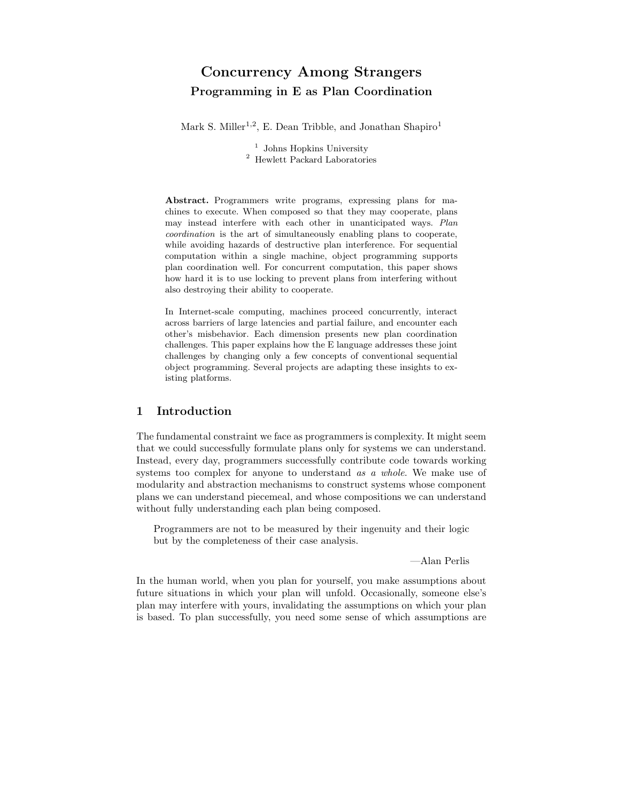# Concurrency Among Strangers Programming in E as Plan Coordination

Mark S. Miller<sup>1,2</sup>, E. Dean Tribble, and Jonathan Shapiro<sup>1</sup>

<sup>1</sup> Johns Hopkins University <sup>2</sup> Hewlett Packard Laboratories

Abstract. Programmers write programs, expressing plans for machines to execute. When composed so that they may cooperate, plans may instead interfere with each other in unanticipated ways. Plan coordination is the art of simultaneously enabling plans to cooperate, while avoiding hazards of destructive plan interference. For sequential computation within a single machine, object programming supports plan coordination well. For concurrent computation, this paper shows how hard it is to use locking to prevent plans from interfering without also destroying their ability to cooperate.

In Internet-scale computing, machines proceed concurrently, interact across barriers of large latencies and partial failure, and encounter each other's misbehavior. Each dimension presents new plan coordination challenges. This paper explains how the E language addresses these joint challenges by changing only a few concepts of conventional sequential object programming. Several projects are adapting these insights to existing platforms.

# 1 Introduction

The fundamental constraint we face as programmers is complexity. It might seem that we could successfully formulate plans only for systems we can understand. Instead, every day, programmers successfully contribute code towards working systems too complex for anyone to understand as a whole. We make use of modularity and abstraction mechanisms to construct systems whose component plans we can understand piecemeal, and whose compositions we can understand without fully understanding each plan being composed.

Programmers are not to be measured by their ingenuity and their logic but by the completeness of their case analysis.

—Alan Perlis

In the human world, when you plan for yourself, you make assumptions about future situations in which your plan will unfold. Occasionally, someone else's plan may interfere with yours, invalidating the assumptions on which your plan is based. To plan successfully, you need some sense of which assumptions are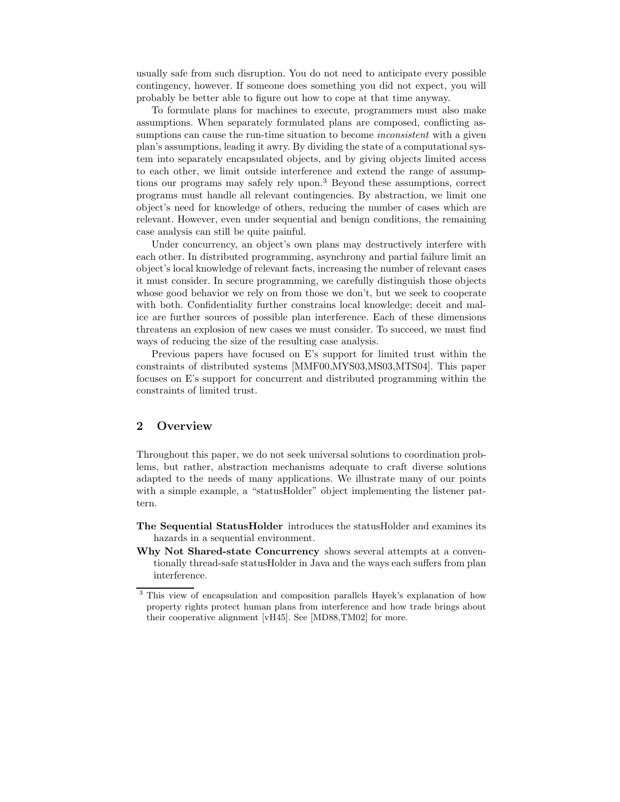usually safe from such disruption. You do not need to anticipate every possible contingency, however. If someone does something you did not expect, you will probably be better able to figure out how to cope at that time anyway.

To formulate plans for machines to execute, programmers must also make assumptions. When separately formulated plans are composed, conflicting assumptions can cause the run-time situation to become *inconsistent* with a given plan's assumptions, leading it awry. By dividing the state of a computational system into separately encapsulated objects, and by giving objects limited access to each other, we limit outside interference and extend the range of assumptions our programs may safely rely upon.<sup>3</sup> Beyond these assumptions, correct programs must handle all relevant contingencies. By abstraction, we limit one object's need for knowledge of others, reducing the number of cases which are relevant. However, even under sequential and benign conditions, the remaining case analysis can still be quite painful.

Under concurrency, an object's own plans may destructively interfere with each other. In distributed programming, asynchrony and partial failure limit an object's local knowledge of relevant facts, increasing the number of relevant cases it must consider. In secure programming, we carefully distinguish those objects whose good behavior we rely on from those we don't, but we seek to cooperate with both. Confidentiality further constrains local knowledge; deceit and malice are further sources of possible plan interference. Each of these dimensions threatens an explosion of new cases we must consider. To succeed, we must find ways of reducing the size of the resulting case analysis.

Previous papers have focused on E's support for limited trust within the constraints of distributed systems [MMF00,MYS03,MS03,MTS04]. This paper focuses on E's support for concurrent and distributed programming within the constraints of limited trust.

## 2 Overview

Throughout this paper, we do not seek universal solutions to coordination problems, but rather, abstraction mechanisms adequate to craft diverse solutions adapted to the needs of many applications. We illustrate many of our points with a simple example, a "statusHolder" object implementing the listener pattern.

- The Sequential StatusHolder introduces the statusHolder and examines its hazards in a sequential environment.
- Why Not Shared-state Concurrency shows several attempts at a conventionally thread-safe statusHolder in Java and the ways each suffers from plan interference.

<sup>3</sup> This view of encapsulation and composition parallels Hayek's explanation of how property rights protect human plans from interference and how trade brings about their cooperative alignment [vH45]. See [MD88,TM02] for more.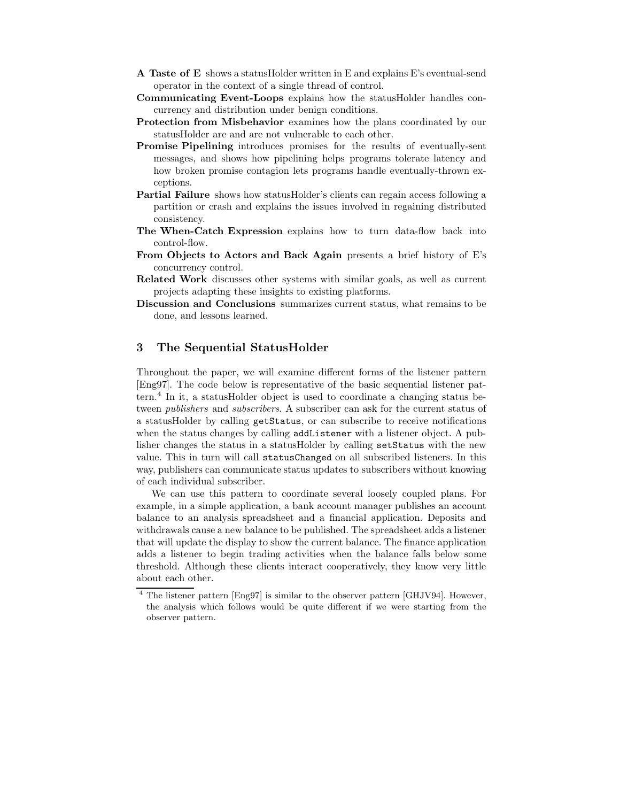- A Taste of E shows a statusHolder written in E and explains E's eventual-send operator in the context of a single thread of control.
- Communicating Event-Loops explains how the statusHolder handles concurrency and distribution under benign conditions.
- Protection from Misbehavior examines how the plans coordinated by our statusHolder are and are not vulnerable to each other.
- Promise Pipelining introduces promises for the results of eventually-sent messages, and shows how pipelining helps programs tolerate latency and how broken promise contagion lets programs handle eventually-thrown exceptions.
- Partial Failure shows how statusHolder's clients can regain access following a partition or crash and explains the issues involved in regaining distributed consistency.
- The When-Catch Expression explains how to turn data-flow back into control-flow.
- From Objects to Actors and Back Again presents a brief history of E's concurrency control.
- Related Work discusses other systems with similar goals, as well as current projects adapting these insights to existing platforms.
- Discussion and Conclusions summarizes current status, what remains to be done, and lessons learned.

# 3 The Sequential StatusHolder

Throughout the paper, we will examine different forms of the listener pattern [Eng97]. The code below is representative of the basic sequential listener pattern.<sup>4</sup> In it, a statusHolder object is used to coordinate a changing status between publishers and subscribers. A subscriber can ask for the current status of a statusHolder by calling getStatus, or can subscribe to receive notifications when the status changes by calling addListener with a listener object. A publisher changes the status in a statusHolder by calling setStatus with the new value. This in turn will call statusChanged on all subscribed listeners. In this way, publishers can communicate status updates to subscribers without knowing of each individual subscriber.

We can use this pattern to coordinate several loosely coupled plans. For example, in a simple application, a bank account manager publishes an account balance to an analysis spreadsheet and a financial application. Deposits and withdrawals cause a new balance to be published. The spreadsheet adds a listener that will update the display to show the current balance. The finance application adds a listener to begin trading activities when the balance falls below some threshold. Although these clients interact cooperatively, they know very little about each other.

<sup>&</sup>lt;sup>4</sup> The listener pattern [Eng97] is similar to the observer pattern [GHJV94]. However, the analysis which follows would be quite different if we were starting from the observer pattern.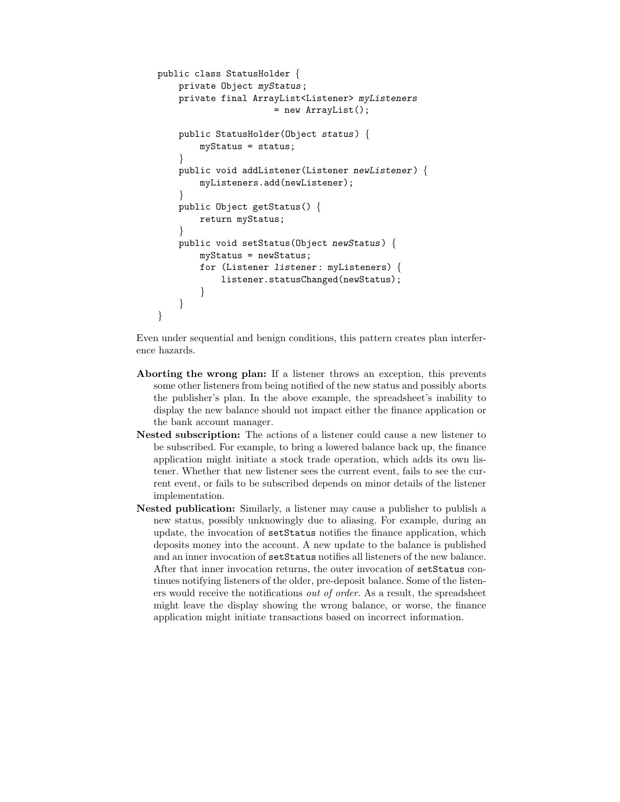```
public class StatusHolder {
   private Object myStatus;
   private final ArrayList<Listener> myListeners
                      = new ArrayList();
   public StatusHolder(Object status) {
        myStatus = status;
    }
   public void addListener(Listener newListener) {
        myListeners.add(newListener);
    }
   public Object getStatus() {
        return myStatus;
    }
   public void setStatus(Object newStatus) {
        myStatus = newStatus;
        for (Listener listener: myListeners) {
            listener.statusChanged(newStatus);
        }
   }
}
```
Even under sequential and benign conditions, this pattern creates plan interference hazards.

- Aborting the wrong plan: If a listener throws an exception, this prevents some other listeners from being notified of the new status and possibly aborts the publisher's plan. In the above example, the spreadsheet's inability to display the new balance should not impact either the finance application or the bank account manager.
- Nested subscription: The actions of a listener could cause a new listener to be subscribed. For example, to bring a lowered balance back up, the finance application might initiate a stock trade operation, which adds its own listener. Whether that new listener sees the current event, fails to see the current event, or fails to be subscribed depends on minor details of the listener implementation.
- Nested publication: Similarly, a listener may cause a publisher to publish a new status, possibly unknowingly due to aliasing. For example, during an update, the invocation of setStatus notifies the finance application, which deposits money into the account. A new update to the balance is published and an inner invocation of setStatus notifies all listeners of the new balance. After that inner invocation returns, the outer invocation of setStatus continues notifying listeners of the older, pre-deposit balance. Some of the listeners would receive the notifications out of order. As a result, the spreadsheet might leave the display showing the wrong balance, or worse, the finance application might initiate transactions based on incorrect information.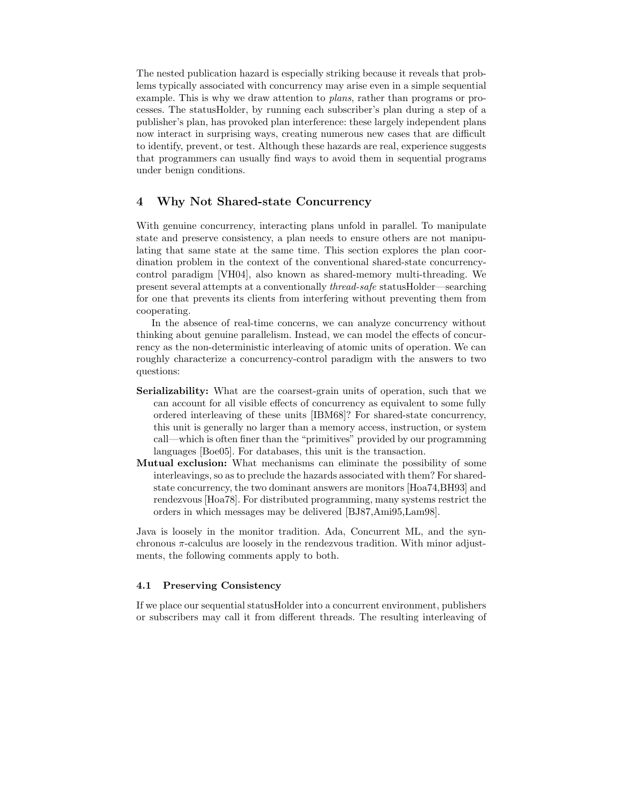The nested publication hazard is especially striking because it reveals that problems typically associated with concurrency may arise even in a simple sequential example. This is why we draw attention to *plans*, rather than programs or processes. The statusHolder, by running each subscriber's plan during a step of a publisher's plan, has provoked plan interference: these largely independent plans now interact in surprising ways, creating numerous new cases that are difficult to identify, prevent, or test. Although these hazards are real, experience suggests that programmers can usually find ways to avoid them in sequential programs under benign conditions.

# 4 Why Not Shared-state Concurrency

With genuine concurrency, interacting plans unfold in parallel. To manipulate state and preserve consistency, a plan needs to ensure others are not manipulating that same state at the same time. This section explores the plan coordination problem in the context of the conventional shared-state concurrencycontrol paradigm [VH04], also known as shared-memory multi-threading. We present several attempts at a conventionally thread-safe statusHolder—searching for one that prevents its clients from interfering without preventing them from cooperating.

In the absence of real-time concerns, we can analyze concurrency without thinking about genuine parallelism. Instead, we can model the effects of concurrency as the non-deterministic interleaving of atomic units of operation. We can roughly characterize a concurrency-control paradigm with the answers to two questions:

- Serializability: What are the coarsest-grain units of operation, such that we can account for all visible effects of concurrency as equivalent to some fully ordered interleaving of these units [IBM68]? For shared-state concurrency, this unit is generally no larger than a memory access, instruction, or system call—which is often finer than the "primitives" provided by our programming languages [Boe05]. For databases, this unit is the transaction.
- Mutual exclusion: What mechanisms can eliminate the possibility of some interleavings, so as to preclude the hazards associated with them? For sharedstate concurrency, the two dominant answers are monitors [Hoa74,BH93] and rendezvous [Hoa78]. For distributed programming, many systems restrict the orders in which messages may be delivered [BJ87,Ami95,Lam98].

Java is loosely in the monitor tradition. Ada, Concurrent ML, and the synchronous π-calculus are loosely in the rendezvous tradition. With minor adjustments, the following comments apply to both.

#### 4.1 Preserving Consistency

If we place our sequential statusHolder into a concurrent environment, publishers or subscribers may call it from different threads. The resulting interleaving of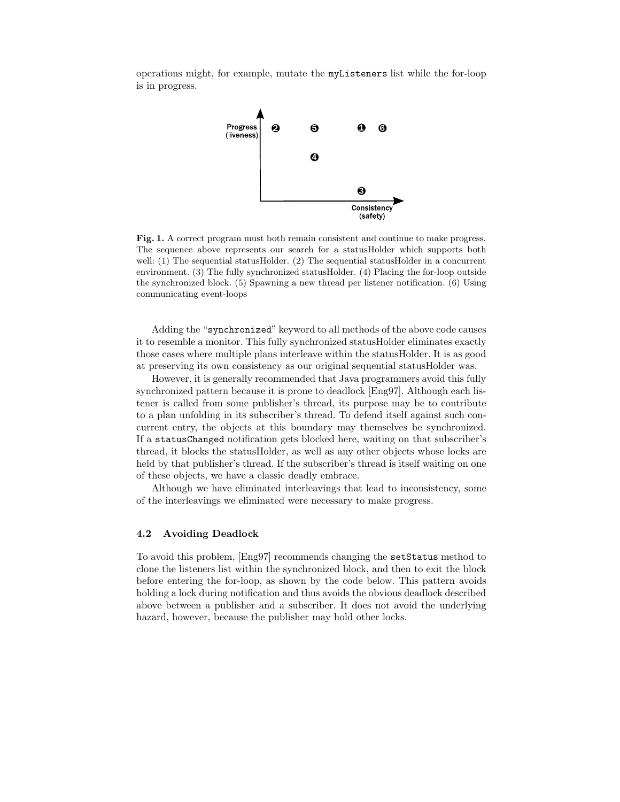operations might, for example, mutate the myListeners list while the for-loop is in progress.



Fig. 1. A correct program must both remain consistent and continue to make progress. The sequence above represents our search for a statusHolder which supports both well: (1) The sequential statusHolder. (2) The sequential statusHolder in a concurrent environment. (3) The fully synchronized statusHolder. (4) Placing the for-loop outside the synchronized block. (5) Spawning a new thread per listener notification. (6) Using communicating event-loops

Adding the "synchronized" keyword to all methods of the above code causes it to resemble a monitor. This fully synchronized statusHolder eliminates exactly those cases where multiple plans interleave within the statusHolder. It is as good at preserving its own consistency as our original sequential statusHolder was.

However, it is generally recommended that Java programmers avoid this fully synchronized pattern because it is prone to deadlock [Eng97]. Although each listener is called from some publisher's thread, its purpose may be to contribute to a plan unfolding in its subscriber's thread. To defend itself against such concurrent entry, the objects at this boundary may themselves be synchronized. If a statusChanged notification gets blocked here, waiting on that subscriber's thread, it blocks the statusHolder, as well as any other objects whose locks are held by that publisher's thread. If the subscriber's thread is itself waiting on one of these objects, we have a classic deadly embrace.

Although we have eliminated interleavings that lead to inconsistency, some of the interleavings we eliminated were necessary to make progress.

#### 4.2 Avoiding Deadlock

To avoid this problem, [Eng97] recommends changing the setStatus method to clone the listeners list within the synchronized block, and then to exit the block before entering the for-loop, as shown by the code below. This pattern avoids holding a lock during notification and thus avoids the obvious deadlock described above between a publisher and a subscriber. It does not avoid the underlying hazard, however, because the publisher may hold other locks.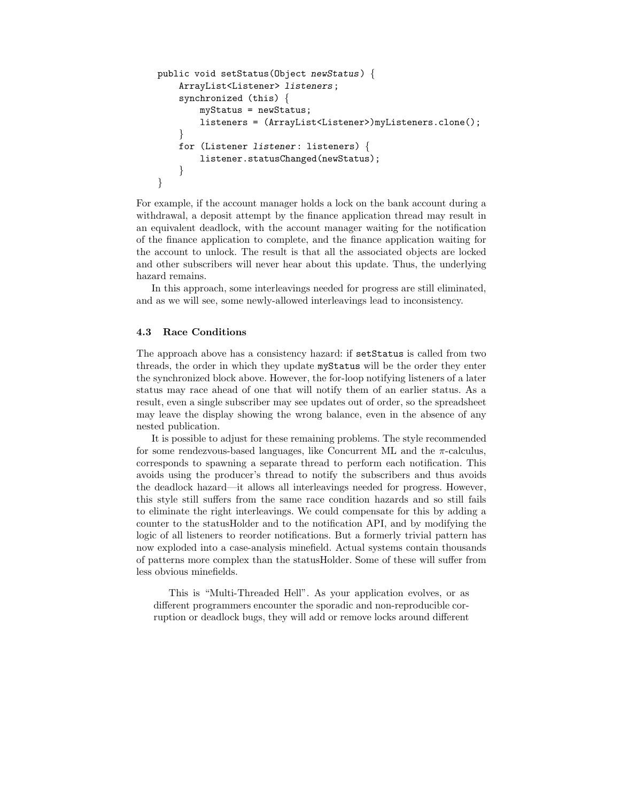```
public void setStatus(Object newStatus) {
   ArrayList<Listener> listeners;
   synchronized (this) {
        myStatus = newStatus;
        listeners = (ArrayList<Listener>)myListeners.clone();
    }
   for (Listener listener: listeners) {
        listener.statusChanged(newStatus);
   }
}
```
For example, if the account manager holds a lock on the bank account during a withdrawal, a deposit attempt by the finance application thread may result in an equivalent deadlock, with the account manager waiting for the notification of the finance application to complete, and the finance application waiting for the account to unlock. The result is that all the associated objects are locked and other subscribers will never hear about this update. Thus, the underlying hazard remains.

In this approach, some interleavings needed for progress are still eliminated, and as we will see, some newly-allowed interleavings lead to inconsistency.

#### 4.3 Race Conditions

The approach above has a consistency hazard: if setStatus is called from two threads, the order in which they update myStatus will be the order they enter the synchronized block above. However, the for-loop notifying listeners of a later status may race ahead of one that will notify them of an earlier status. As a result, even a single subscriber may see updates out of order, so the spreadsheet may leave the display showing the wrong balance, even in the absence of any nested publication.

It is possible to adjust for these remaining problems. The style recommended for some rendezvous-based languages, like Concurrent ML and the  $\pi$ -calculus, corresponds to spawning a separate thread to perform each notification. This avoids using the producer's thread to notify the subscribers and thus avoids the deadlock hazard—it allows all interleavings needed for progress. However, this style still suffers from the same race condition hazards and so still fails to eliminate the right interleavings. We could compensate for this by adding a counter to the statusHolder and to the notification API, and by modifying the logic of all listeners to reorder notifications. But a formerly trivial pattern has now exploded into a case-analysis minefield. Actual systems contain thousands of patterns more complex than the statusHolder. Some of these will suffer from less obvious minefields.

This is "Multi-Threaded Hell". As your application evolves, or as different programmers encounter the sporadic and non-reproducible corruption or deadlock bugs, they will add or remove locks around different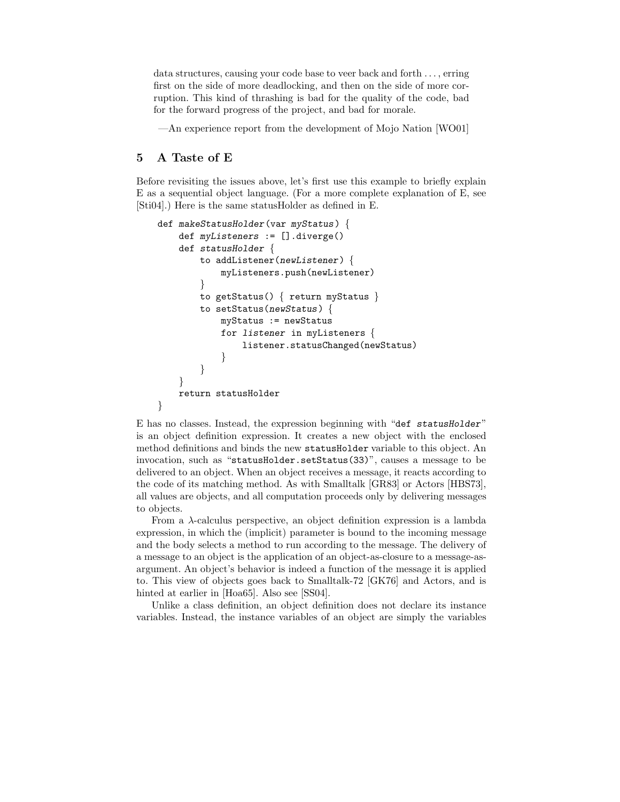data structures, causing your code base to veer back and forth . . . , erring first on the side of more deadlocking, and then on the side of more corruption. This kind of thrashing is bad for the quality of the code, bad for the forward progress of the project, and bad for morale.

—An experience report from the development of Mojo Nation [WO01]

# 5 A Taste of E

Before revisiting the issues above, let's first use this example to briefly explain E as a sequential object language. (For a more complete explanation of E, see [Sti04].) Here is the same statusHolder as defined in E.

```
def makeStatusHolder(var myStatus) {
    def myListeners := [].diverge()
    def statusHolder {
        to addListener(newListener) {
            myListeners.push(newListener)
        }
        to getStatus() { return myStatus }
        to setStatus(newStatus) {
            myStatus := newStatus
            for listener in myListeners {
                listener.statusChanged(newStatus)
            }
        }
    }
    return statusHolder
}
```
E has no classes. Instead, the expression beginning with "def statusHolder" is an object definition expression. It creates a new object with the enclosed method definitions and binds the new statusHolder variable to this object. An invocation, such as "statusHolder.setStatus(33)", causes a message to be delivered to an object. When an object receives a message, it reacts according to the code of its matching method. As with Smalltalk [GR83] or Actors [HBS73], all values are objects, and all computation proceeds only by delivering messages to objects.

From a  $\lambda$ -calculus perspective, an object definition expression is a lambda expression, in which the (implicit) parameter is bound to the incoming message and the body selects a method to run according to the message. The delivery of a message to an object is the application of an object-as-closure to a message-asargument. An object's behavior is indeed a function of the message it is applied to. This view of objects goes back to Smalltalk-72 [GK76] and Actors, and is hinted at earlier in [Hoa65]. Also see [SS04].

Unlike a class definition, an object definition does not declare its instance variables. Instead, the instance variables of an object are simply the variables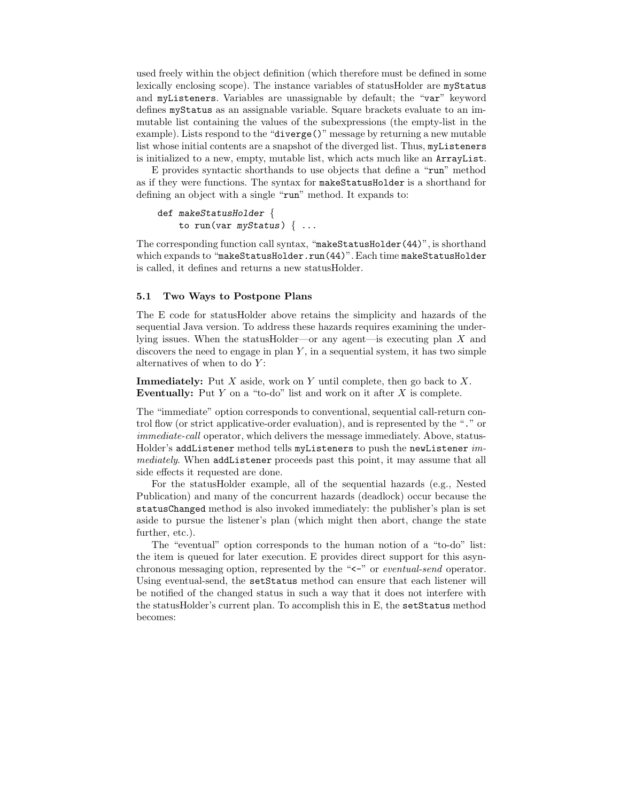used freely within the object definition (which therefore must be defined in some lexically enclosing scope). The instance variables of statusHolder are myStatus and myListeners. Variables are unassignable by default; the "var" keyword defines myStatus as an assignable variable. Square brackets evaluate to an immutable list containing the values of the subexpressions (the empty-list in the example). Lists respond to the "diverge()" message by returning a new mutable list whose initial contents are a snapshot of the diverged list. Thus, myListeners is initialized to a new, empty, mutable list, which acts much like an ArrayList.

E provides syntactic shorthands to use objects that define a "run" method as if they were functions. The syntax for makeStatusHolder is a shorthand for defining an object with a single "run" method. It expands to:

```
def makeStatusHolder {
    to run(var myStatus) \{ \ldots \}
```
The corresponding function call syntax, "makeStatusHolder(44)", is shorthand which expands to "makeStatusHolder.run(44)". Each time makeStatusHolder is called, it defines and returns a new statusHolder.

#### 5.1 Two Ways to Postpone Plans

The E code for statusHolder above retains the simplicity and hazards of the sequential Java version. To address these hazards requires examining the underlying issues. When the statusHolder—or any agent—is executing plan X and discovers the need to engage in plan  $Y$ , in a sequential system, it has two simple alternatives of when to do  $Y$ :

**Immediately:** Put X aside, work on Y until complete, then go back to X. **Eventually:** Put Y on a "to-do" list and work on it after X is complete.

The "immediate" option corresponds to conventional, sequential call-return control flow (or strict applicative-order evaluation), and is represented by the "." or immediate-call operator, which delivers the message immediately. Above, status-Holder's addListener method tells myListeners to push the newListener immediately. When addListener proceeds past this point, it may assume that all side effects it requested are done.

For the statusHolder example, all of the sequential hazards (e.g., Nested Publication) and many of the concurrent hazards (deadlock) occur because the statusChanged method is also invoked immediately: the publisher's plan is set aside to pursue the listener's plan (which might then abort, change the state further, etc.).

The "eventual" option corresponds to the human notion of a "to-do" list: the item is queued for later execution. E provides direct support for this asynchronous messaging option, represented by the " $\leftarrow$ " or eventual-send operator. Using eventual-send, the setStatus method can ensure that each listener will be notified of the changed status in such a way that it does not interfere with the statusHolder's current plan. To accomplish this in E, the setStatus method becomes: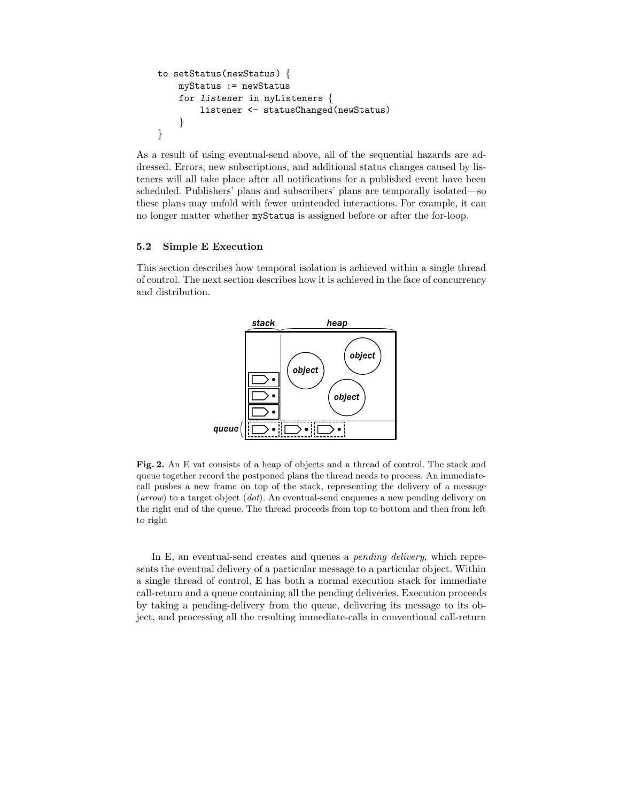```
to setStatus(newStatus) {
    myStatus := newStatus
    for listener in myListeners {
        listener <- statusChanged(newStatus)
    }
}
```
As a result of using eventual-send above, all of the sequential hazards are addressed. Errors, new subscriptions, and additional status changes caused by listeners will all take place after all notifications for a published event have been scheduled. Publishers' plans and subscribers' plans are temporally isolated—so these plans may unfold with fewer unintended interactions. For example, it can no longer matter whether myStatus is assigned before or after the for-loop.

#### 5.2 Simple E Execution

This section describes how temporal isolation is achieved within a single thread of control. The next section describes how it is achieved in the face of concurrency and distribution.



Fig. 2. An E vat consists of a heap of objects and a thread of control. The stack and queue together record the postponed plans the thread needs to process. An immediatecall pushes a new frame on top of the stack, representing the delivery of a message  $(arrow)$  to a target object  $(dot)$ . An eventual-send enqueues a new pending delivery on the right end of the queue. The thread proceeds from top to bottom and then from left to right

In E, an eventual-send creates and queues a *pending delivery*, which represents the eventual delivery of a particular message to a particular object. Within a single thread of control, E has both a normal execution stack for immediate call-return and a queue containing all the pending deliveries. Execution proceeds by taking a pending-delivery from the queue, delivering its message to its object, and processing all the resulting immediate-calls in conventional call-return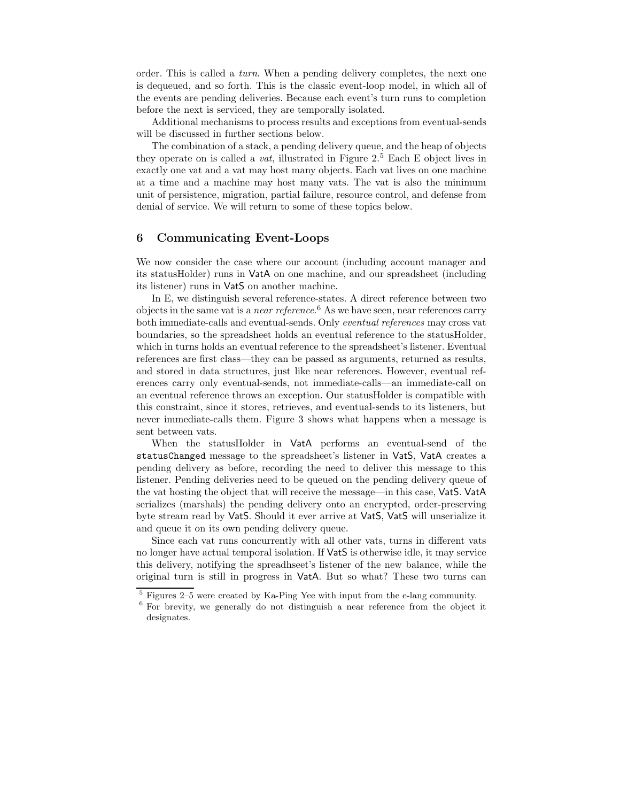order. This is called a turn. When a pending delivery completes, the next one is dequeued, and so forth. This is the classic event-loop model, in which all of the events are pending deliveries. Because each event's turn runs to completion before the next is serviced, they are temporally isolated.

Additional mechanisms to process results and exceptions from eventual-sends will be discussed in further sections below.

The combination of a stack, a pending delivery queue, and the heap of objects they operate on is called a *vat*, illustrated in Figure  $2<sup>5</sup>$  Each E object lives in exactly one vat and a vat may host many objects. Each vat lives on one machine at a time and a machine may host many vats. The vat is also the minimum unit of persistence, migration, partial failure, resource control, and defense from denial of service. We will return to some of these topics below.

# 6 Communicating Event-Loops

We now consider the case where our account (including account manager and its statusHolder) runs in VatA on one machine, and our spreadsheet (including its listener) runs in VatS on another machine.

In E, we distinguish several reference-states. A direct reference between two objects in the same vat is a *near reference*.<sup>6</sup> As we have seen, near references carry both immediate-calls and eventual-sends. Only eventual references may cross vat boundaries, so the spreadsheet holds an eventual reference to the statusHolder, which in turns holds an eventual reference to the spreadsheet's listener. Eventual references are first class—they can be passed as arguments, returned as results, and stored in data structures, just like near references. However, eventual references carry only eventual-sends, not immediate-calls—an immediate-call on an eventual reference throws an exception. Our statusHolder is compatible with this constraint, since it stores, retrieves, and eventual-sends to its listeners, but never immediate-calls them. Figure 3 shows what happens when a message is sent between vats.

When the statusHolder in VatA performs an eventual-send of the statusChanged message to the spreadsheet's listener in VatS, VatA creates a pending delivery as before, recording the need to deliver this message to this listener. Pending deliveries need to be queued on the pending delivery queue of the vat hosting the object that will receive the message—in this case, VatS. VatA serializes (marshals) the pending delivery onto an encrypted, order-preserving byte stream read by VatS. Should it ever arrive at VatS, VatS will unserialize it and queue it on its own pending delivery queue.

Since each vat runs concurrently with all other vats, turns in different vats no longer have actual temporal isolation. If VatS is otherwise idle, it may service this delivery, notifying the spreadhseet's listener of the new balance, while the original turn is still in progress in VatA. But so what? These two turns can

<sup>5</sup> Figures 2–5 were created by Ka-Ping Yee with input from the e-lang community.

<sup>6</sup> For brevity, we generally do not distinguish a near reference from the object it designates.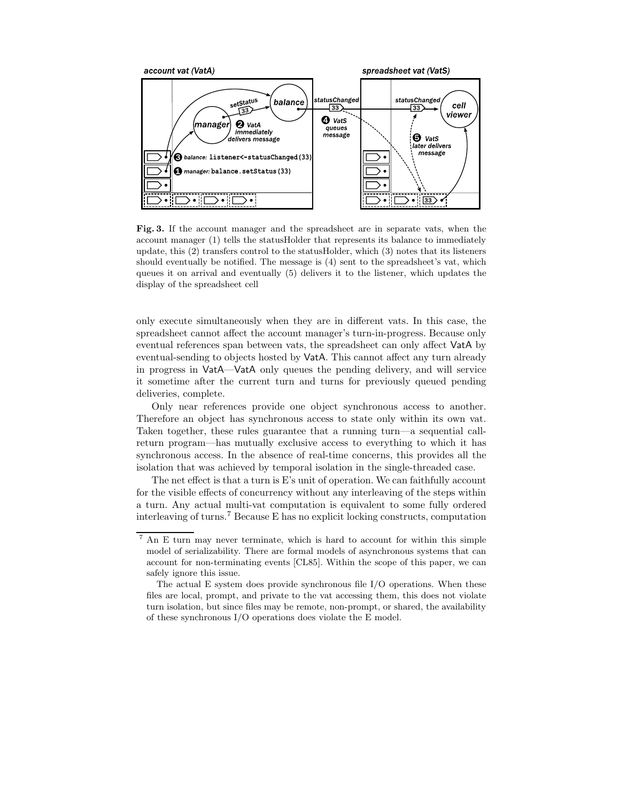

Fig. 3. If the account manager and the spreadsheet are in separate vats, when the account manager (1) tells the statusHolder that represents its balance to immediately update, this (2) transfers control to the statusHolder, which (3) notes that its listeners should eventually be notified. The message is (4) sent to the spreadsheet's vat, which queues it on arrival and eventually (5) delivers it to the listener, which updates the display of the spreadsheet cell

only execute simultaneously when they are in different vats. In this case, the spreadsheet cannot affect the account manager's turn-in-progress. Because only eventual references span between vats, the spreadsheet can only affect VatA by eventual-sending to objects hosted by VatA. This cannot affect any turn already in progress in VatA—VatA only queues the pending delivery, and will service it sometime after the current turn and turns for previously queued pending deliveries, complete.

Only near references provide one object synchronous access to another. Therefore an object has synchronous access to state only within its own vat. Taken together, these rules guarantee that a running turn—a sequential callreturn program—has mutually exclusive access to everything to which it has synchronous access. In the absence of real-time concerns, this provides all the isolation that was achieved by temporal isolation in the single-threaded case.

The net effect is that a turn is E's unit of operation. We can faithfully account for the visible effects of concurrency without any interleaving of the steps within a turn. Any actual multi-vat computation is equivalent to some fully ordered interleaving of turns.<sup>7</sup> Because E has no explicit locking constructs, computation

An E turn may never terminate, which is hard to account for within this simple model of serializability. There are formal models of asynchronous systems that can account for non-terminating events [CL85]. Within the scope of this paper, we can safely ignore this issue.

The actual E system does provide synchronous file I/O operations. When these files are local, prompt, and private to the vat accessing them, this does not violate turn isolation, but since files may be remote, non-prompt, or shared, the availability of these synchronous I/O operations does violate the E model.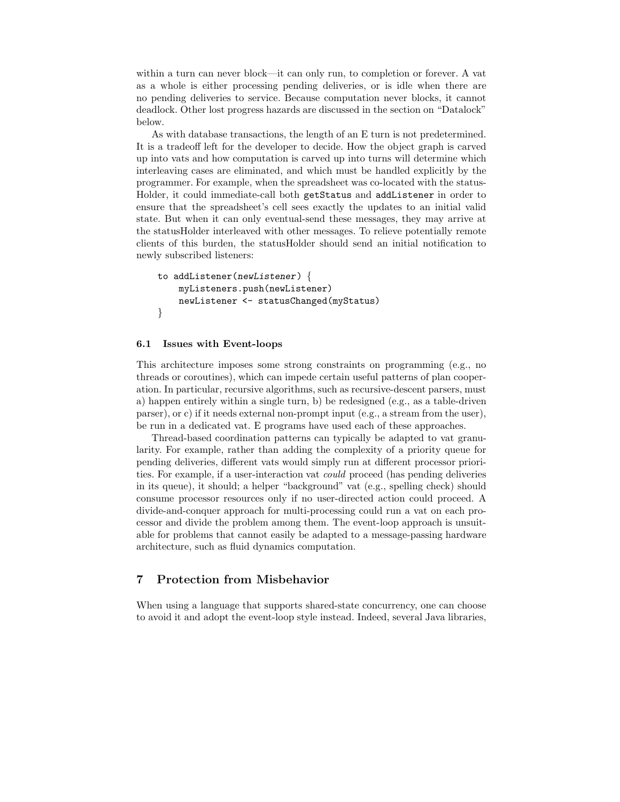within a turn can never block—it can only run, to completion or forever. A vat as a whole is either processing pending deliveries, or is idle when there are no pending deliveries to service. Because computation never blocks, it cannot deadlock. Other lost progress hazards are discussed in the section on "Datalock" below.

As with database transactions, the length of an E turn is not predetermined. It is a tradeoff left for the developer to decide. How the object graph is carved up into vats and how computation is carved up into turns will determine which interleaving cases are eliminated, and which must be handled explicitly by the programmer. For example, when the spreadsheet was co-located with the status-Holder, it could immediate-call both getStatus and addListener in order to ensure that the spreadsheet's cell sees exactly the updates to an initial valid state. But when it can only eventual-send these messages, they may arrive at the statusHolder interleaved with other messages. To relieve potentially remote clients of this burden, the statusHolder should send an initial notification to newly subscribed listeners:

```
to addListener(newListener) {
   myListeners.push(newListener)
   newListener <- statusChanged(myStatus)
}
```
#### 6.1 Issues with Event-loops

This architecture imposes some strong constraints on programming (e.g., no threads or coroutines), which can impede certain useful patterns of plan cooperation. In particular, recursive algorithms, such as recursive-descent parsers, must a) happen entirely within a single turn, b) be redesigned (e.g., as a table-driven parser), or c) if it needs external non-prompt input (e.g., a stream from the user), be run in a dedicated vat. E programs have used each of these approaches.

Thread-based coordination patterns can typically be adapted to vat granularity. For example, rather than adding the complexity of a priority queue for pending deliveries, different vats would simply run at different processor priorities. For example, if a user-interaction vat could proceed (has pending deliveries in its queue), it should; a helper "background" vat (e.g., spelling check) should consume processor resources only if no user-directed action could proceed. A divide-and-conquer approach for multi-processing could run a vat on each processor and divide the problem among them. The event-loop approach is unsuitable for problems that cannot easily be adapted to a message-passing hardware architecture, such as fluid dynamics computation.

# 7 Protection from Misbehavior

When using a language that supports shared-state concurrency, one can choose to avoid it and adopt the event-loop style instead. Indeed, several Java libraries,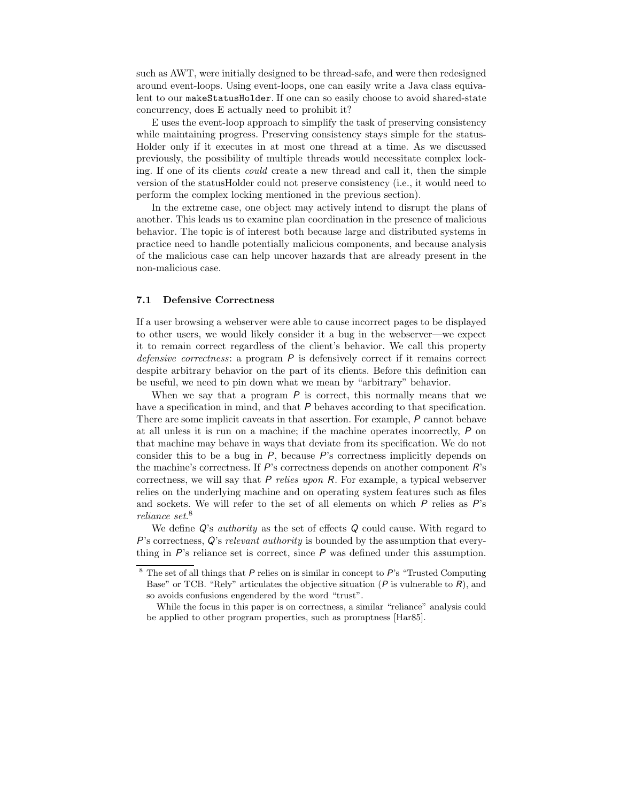such as AWT, were initially designed to be thread-safe, and were then redesigned around event-loops. Using event-loops, one can easily write a Java class equivalent to our makeStatusHolder. If one can so easily choose to avoid shared-state concurrency, does E actually need to prohibit it?

E uses the event-loop approach to simplify the task of preserving consistency while maintaining progress. Preserving consistency stays simple for the status-Holder only if it executes in at most one thread at a time. As we discussed previously, the possibility of multiple threads would necessitate complex locking. If one of its clients could create a new thread and call it, then the simple version of the statusHolder could not preserve consistency (i.e., it would need to perform the complex locking mentioned in the previous section).

In the extreme case, one object may actively intend to disrupt the plans of another. This leads us to examine plan coordination in the presence of malicious behavior. The topic is of interest both because large and distributed systems in practice need to handle potentially malicious components, and because analysis of the malicious case can help uncover hazards that are already present in the non-malicious case.

#### 7.1 Defensive Correctness

If a user browsing a webserver were able to cause incorrect pages to be displayed to other users, we would likely consider it a bug in the webserver—we expect it to remain correct regardless of the client's behavior. We call this property defensive correctness: a program  $P$  is defensively correct if it remains correct despite arbitrary behavior on the part of its clients. Before this definition can be useful, we need to pin down what we mean by "arbitrary" behavior.

When we say that a program  $P$  is correct, this normally means that we have a specification in mind, and that  $P$  behaves according to that specification. There are some implicit caveats in that assertion. For example, P cannot behave at all unless it is run on a machine; if the machine operates incorrectly, P on that machine may behave in ways that deviate from its specification. We do not consider this to be a bug in  $P$ , because  $P$ 's correctness implicitly depends on the machine's correctness. If  $P$ 's correctness depends on another component  $R$ 's correctness, we will say that  $P$  relies upon  $R$ . For example, a typical webserver relies on the underlying machine and on operating system features such as files and sockets. We will refer to the set of all elements on which  $P$  relies as  $P$ 's reliance set. 8

We define  $Q$ 's *authority* as the set of effects  $Q$  could cause. With regard to P's correctness, Q's relevant authority is bounded by the assumption that everything in  $P$ 's reliance set is correct, since  $P$  was defined under this assumption.

 $8$  The set of all things that P relies on is similar in concept to P's "Trusted Computing" Base" or TCB. "Rely" articulates the objective situation ( $P$  is vulnerable to  $R$ ), and so avoids confusions engendered by the word "trust".

While the focus in this paper is on correctness, a similar "reliance" analysis could be applied to other program properties, such as promptness [Har85].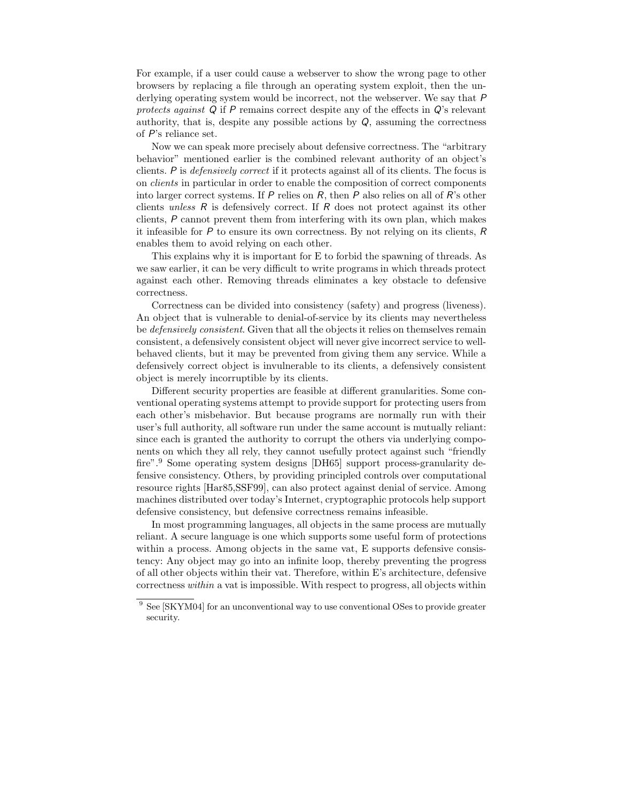For example, if a user could cause a webserver to show the wrong page to other browsers by replacing a file through an operating system exploit, then the underlying operating system would be incorrect, not the webserver. We say that P protects against  $Q$  if P remains correct despite any of the effects in  $Q$ 's relevant authority, that is, despite any possible actions by  $Q$ , assuming the correctness of P's reliance set.

Now we can speak more precisely about defensive correctness. The "arbitrary behavior" mentioned earlier is the combined relevant authority of an object's clients. P is defensively correct if it protects against all of its clients. The focus is on clients in particular in order to enable the composition of correct components into larger correct systems. If  $P$  relies on  $R$ , then  $P$  also relies on all of  $R$ 's other clients unless  $R$  is defensively correct. If  $R$  does not protect against its other clients,  $P$  cannot prevent them from interfering with its own plan, which makes it infeasible for  $P$  to ensure its own correctness. By not relying on its clients,  $R$ enables them to avoid relying on each other.

This explains why it is important for E to forbid the spawning of threads. As we saw earlier, it can be very difficult to write programs in which threads protect against each other. Removing threads eliminates a key obstacle to defensive correctness.

Correctness can be divided into consistency (safety) and progress (liveness). An object that is vulnerable to denial-of-service by its clients may nevertheless be defensively consistent. Given that all the objects it relies on themselves remain consistent, a defensively consistent object will never give incorrect service to wellbehaved clients, but it may be prevented from giving them any service. While a defensively correct object is invulnerable to its clients, a defensively consistent object is merely incorruptible by its clients.

Different security properties are feasible at different granularities. Some conventional operating systems attempt to provide support for protecting users from each other's misbehavior. But because programs are normally run with their user's full authority, all software run under the same account is mutually reliant: since each is granted the authority to corrupt the others via underlying components on which they all rely, they cannot usefully protect against such "friendly fire".<sup>9</sup> Some operating system designs [DH65] support process-granularity defensive consistency. Others, by providing principled controls over computational resource rights [Har85,SSF99], can also protect against denial of service. Among machines distributed over today's Internet, cryptographic protocols help support defensive consistency, but defensive correctness remains infeasible.

In most programming languages, all objects in the same process are mutually reliant. A secure language is one which supports some useful form of protections within a process. Among objects in the same vat, E supports defensive consistency: Any object may go into an infinite loop, thereby preventing the progress of all other objects within their vat. Therefore, within E's architecture, defensive correctness within a vat is impossible. With respect to progress, all objects within

<sup>&</sup>lt;sup>9</sup> See [SKYM04] for an unconventional way to use conventional OSes to provide greater security.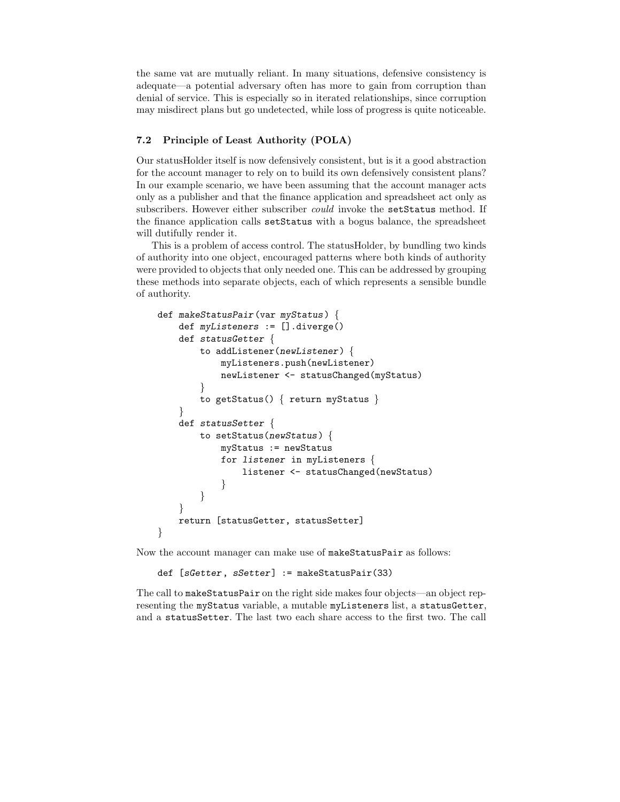the same vat are mutually reliant. In many situations, defensive consistency is adequate—a potential adversary often has more to gain from corruption than denial of service. This is especially so in iterated relationships, since corruption may misdirect plans but go undetected, while loss of progress is quite noticeable.

#### 7.2 Principle of Least Authority (POLA)

Our statusHolder itself is now defensively consistent, but is it a good abstraction for the account manager to rely on to build its own defensively consistent plans? In our example scenario, we have been assuming that the account manager acts only as a publisher and that the finance application and spreadsheet act only as subscribers. However either subscriber *could* invoke the setStatus method. If the finance application calls setStatus with a bogus balance, the spreadsheet will dutifully render it.

This is a problem of access control. The statusHolder, by bundling two kinds of authority into one object, encouraged patterns where both kinds of authority were provided to objects that only needed one. This can be addressed by grouping these methods into separate objects, each of which represents a sensible bundle of authority.

```
def makeStatusPair(var myStatus) {
    def myListeners := [].diverge()
    def statusGetter {
        to addListener(newListener) {
            myListeners.push(newListener)
            newListener <- statusChanged(myStatus)
        }
        to getStatus() { return myStatus }
    }
    def statusSetter {
        to setStatus(newStatus) {
            myStatus := newStatus
            for listener in myListeners {
                listener <- statusChanged(newStatus)
            }
        }
    }
    return [statusGetter, statusSetter]
}
```
Now the account manager can make use of makeStatusPair as follows:

def [sGetter, sSetter] := makeStatusPair(33)

The call to makeStatusPair on the right side makes four objects—an object representing the myStatus variable, a mutable myListeners list, a statusGetter, and a statusSetter. The last two each share access to the first two. The call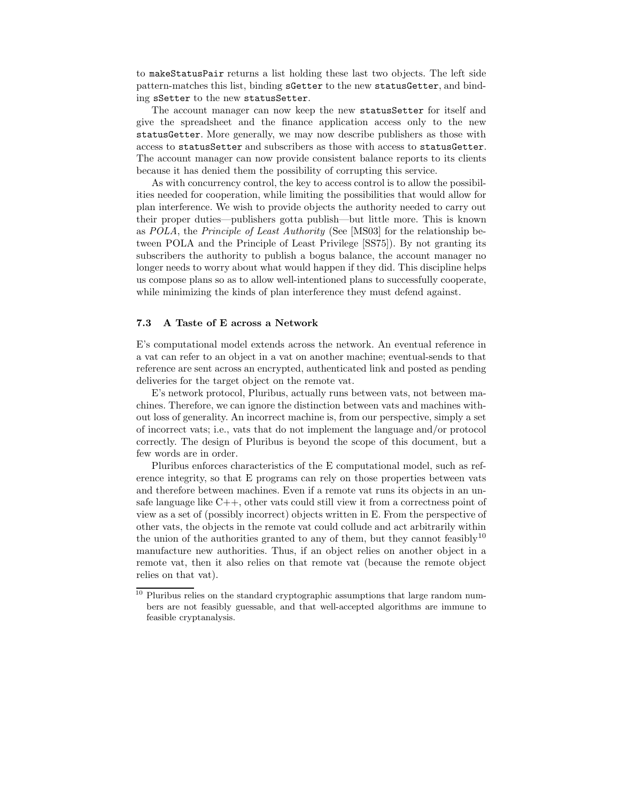to makeStatusPair returns a list holding these last two objects. The left side pattern-matches this list, binding sGetter to the new statusGetter, and binding sSetter to the new statusSetter.

The account manager can now keep the new statusSetter for itself and give the spreadsheet and the finance application access only to the new statusGetter. More generally, we may now describe publishers as those with access to statusSetter and subscribers as those with access to statusGetter. The account manager can now provide consistent balance reports to its clients because it has denied them the possibility of corrupting this service.

As with concurrency control, the key to access control is to allow the possibilities needed for cooperation, while limiting the possibilities that would allow for plan interference. We wish to provide objects the authority needed to carry out their proper duties—publishers gotta publish—but little more. This is known as POLA, the Principle of Least Authority (See [MS03] for the relationship between POLA and the Principle of Least Privilege [SS75]). By not granting its subscribers the authority to publish a bogus balance, the account manager no longer needs to worry about what would happen if they did. This discipline helps us compose plans so as to allow well-intentioned plans to successfully cooperate, while minimizing the kinds of plan interference they must defend against.

#### 7.3 A Taste of E across a Network

E's computational model extends across the network. An eventual reference in a vat can refer to an object in a vat on another machine; eventual-sends to that reference are sent across an encrypted, authenticated link and posted as pending deliveries for the target object on the remote vat.

E's network protocol, Pluribus, actually runs between vats, not between machines. Therefore, we can ignore the distinction between vats and machines without loss of generality. An incorrect machine is, from our perspective, simply a set of incorrect vats; i.e., vats that do not implement the language and/or protocol correctly. The design of Pluribus is beyond the scope of this document, but a few words are in order.

Pluribus enforces characteristics of the E computational model, such as reference integrity, so that E programs can rely on those properties between vats and therefore between machines. Even if a remote vat runs its objects in an unsafe language like  $C_{++}$ , other vats could still view it from a correctness point of view as a set of (possibly incorrect) objects written in E. From the perspective of other vats, the objects in the remote vat could collude and act arbitrarily within the union of the authorities granted to any of them, but they cannot feasibly  $10$ manufacture new authorities. Thus, if an object relies on another object in a remote vat, then it also relies on that remote vat (because the remote object relies on that vat).

<sup>&</sup>lt;sup>10</sup> Pluribus relies on the standard cryptographic assumptions that large random numbers are not feasibly guessable, and that well-accepted algorithms are immune to feasible cryptanalysis.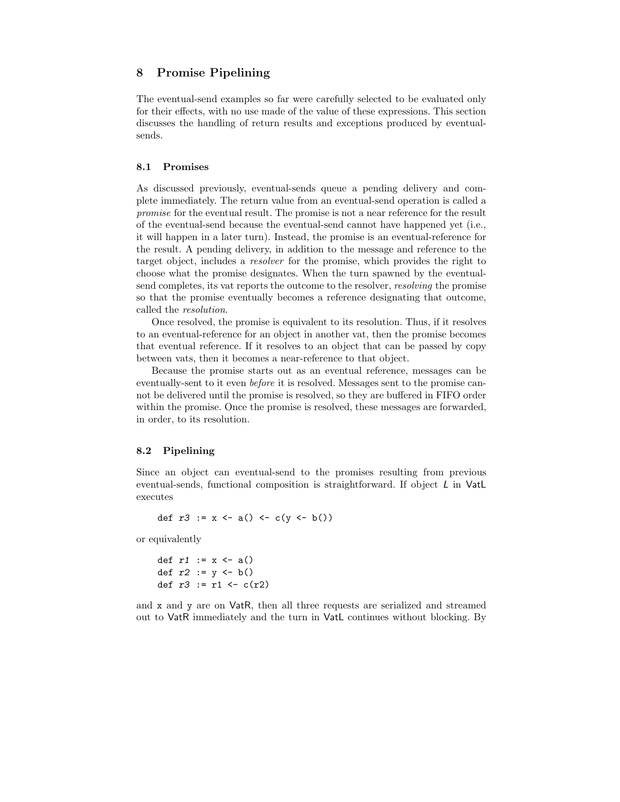# 8 Promise Pipelining

The eventual-send examples so far were carefully selected to be evaluated only for their effects, with no use made of the value of these expressions. This section discusses the handling of return results and exceptions produced by eventualsends.

#### 8.1 Promises

As discussed previously, eventual-sends queue a pending delivery and complete immediately. The return value from an eventual-send operation is called a promise for the eventual result. The promise is not a near reference for the result of the eventual-send because the eventual-send cannot have happened yet (i.e., it will happen in a later turn). Instead, the promise is an eventual-reference for the result. A pending delivery, in addition to the message and reference to the target object, includes a resolver for the promise, which provides the right to choose what the promise designates. When the turn spawned by the eventualsend completes, its vat reports the outcome to the resolver, *resolving* the promise so that the promise eventually becomes a reference designating that outcome, called the resolution.

Once resolved, the promise is equivalent to its resolution. Thus, if it resolves to an eventual-reference for an object in another vat, then the promise becomes that eventual reference. If it resolves to an object that can be passed by copy between vats, then it becomes a near-reference to that object.

Because the promise starts out as an eventual reference, messages can be eventually-sent to it even before it is resolved. Messages sent to the promise cannot be delivered until the promise is resolved, so they are buffered in FIFO order within the promise. Once the promise is resolved, these messages are forwarded, in order, to its resolution.

#### 8.2 Pipelining

Since an object can eventual-send to the promises resulting from previous eventual-sends, functional composition is straightforward. If object L in VatL executes

def  $r3 := x \leftarrow a() \leftarrow c(y \leftarrow b())$ 

or equivalently

```
def r1 := x \leq a()def r2 := y \leftarrow b()def r3 := r1 \leftarrow c(r2)
```
and x and y are on VatR, then all three requests are serialized and streamed out to VatR immediately and the turn in VatL continues without blocking. By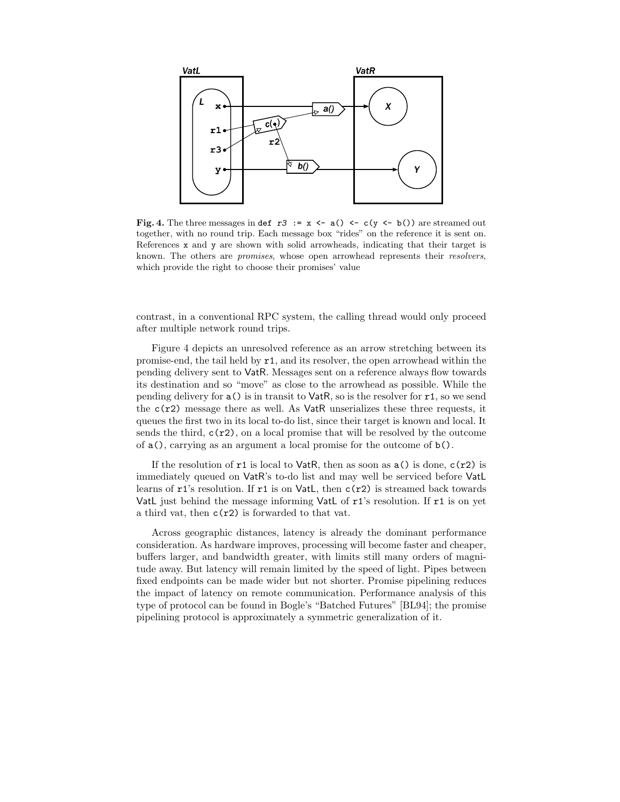

Fig. 4. The three messages in def  $r3 := x \leftarrow a() \leftarrow c(y \leftarrow b() )$  are streamed out together, with no round trip. Each message box "rides" on the reference it is sent on. References x and y are shown with solid arrowheads, indicating that their target is known. The others are promises, whose open arrowhead represents their resolvers, which provide the right to choose their promises' value

contrast, in a conventional RPC system, the calling thread would only proceed after multiple network round trips.

Figure 4 depicts an unresolved reference as an arrow stretching between its promise-end, the tail held by r1, and its resolver, the open arrowhead within the pending delivery sent to VatR. Messages sent on a reference always flow towards its destination and so "move" as close to the arrowhead as possible. While the pending delivery for  $a()$  is in transit to VatR, so is the resolver for  $r1$ , so we send the c(r2) message there as well. As VatR unserializes these three requests, it queues the first two in its local to-do list, since their target is known and local. It sends the third,  $c(r2)$ , on a local promise that will be resolved by the outcome of a(), carrying as an argument a local promise for the outcome of b().

If the resolution of  $r1$  is local to VatR, then as soon as  $a()$  is done,  $c(r2)$  is immediately queued on VatR's to-do list and may well be serviced before VatL learns of  $r1$ 's resolution. If  $r1$  is on VatL, then  $c(r2)$  is streamed back towards VatL just behind the message informing VatL of r1's resolution. If r1 is on yet a third vat, then  $c(r2)$  is forwarded to that vat.

Across geographic distances, latency is already the dominant performance consideration. As hardware improves, processing will become faster and cheaper, buffers larger, and bandwidth greater, with limits still many orders of magnitude away. But latency will remain limited by the speed of light. Pipes between fixed endpoints can be made wider but not shorter. Promise pipelining reduces the impact of latency on remote communication. Performance analysis of this type of protocol can be found in Bogle's "Batched Futures" [BL94]; the promise pipelining protocol is approximately a symmetric generalization of it.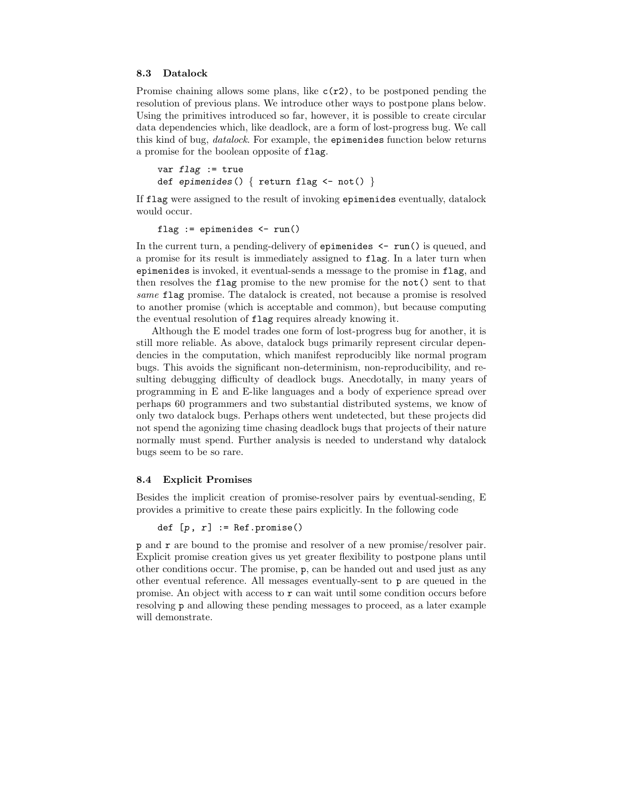#### 8.3 Datalock

Promise chaining allows some plans, like  $c(r2)$ , to be postponed pending the resolution of previous plans. We introduce other ways to postpone plans below. Using the primitives introduced so far, however, it is possible to create circular data dependencies which, like deadlock, are a form of lost-progress bug. We call this kind of bug, datalock. For example, the epimenides function below returns a promise for the boolean opposite of flag.

```
var flag := truedef epimenides() { return flag \left\langle -\text{not}\right(\right) }
```
If flag were assigned to the result of invoking epimenides eventually, datalock would occur.

flag := epimenides  $\leq$  run()

In the current turn, a pending-delivery of epimenides  $\leq -\text{run}$  () is queued, and a promise for its result is immediately assigned to flag. In a later turn when epimenides is invoked, it eventual-sends a message to the promise in flag, and then resolves the flag promise to the new promise for the not() sent to that same flag promise. The datalock is created, not because a promise is resolved to another promise (which is acceptable and common), but because computing the eventual resolution of flag requires already knowing it.

Although the E model trades one form of lost-progress bug for another, it is still more reliable. As above, datalock bugs primarily represent circular dependencies in the computation, which manifest reproducibly like normal program bugs. This avoids the significant non-determinism, non-reproducibility, and resulting debugging difficulty of deadlock bugs. Anecdotally, in many years of programming in E and E-like languages and a body of experience spread over perhaps 60 programmers and two substantial distributed systems, we know of only two datalock bugs. Perhaps others went undetected, but these projects did not spend the agonizing time chasing deadlock bugs that projects of their nature normally must spend. Further analysis is needed to understand why datalock bugs seem to be so rare.

#### 8.4 Explicit Promises

Besides the implicit creation of promise-resolver pairs by eventual-sending, E provides a primitive to create these pairs explicitly. In the following code

def  $[p, r]$  := Ref.promise()

p and r are bound to the promise and resolver of a new promise/resolver pair. Explicit promise creation gives us yet greater flexibility to postpone plans until other conditions occur. The promise, p, can be handed out and used just as any other eventual reference. All messages eventually-sent to p are queued in the promise. An object with access to r can wait until some condition occurs before resolving p and allowing these pending messages to proceed, as a later example will demonstrate.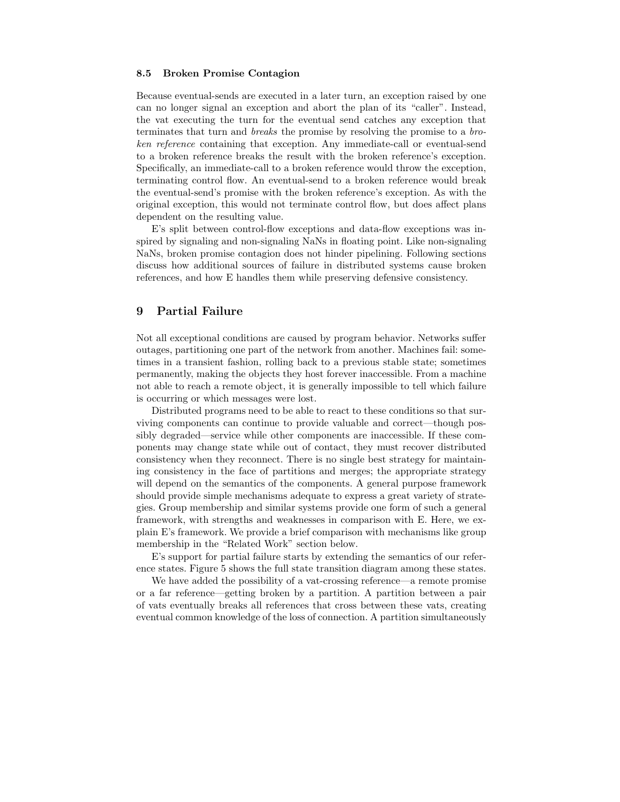#### 8.5 Broken Promise Contagion

Because eventual-sends are executed in a later turn, an exception raised by one can no longer signal an exception and abort the plan of its "caller". Instead, the vat executing the turn for the eventual send catches any exception that terminates that turn and breaks the promise by resolving the promise to a broken reference containing that exception. Any immediate-call or eventual-send to a broken reference breaks the result with the broken reference's exception. Specifically, an immediate-call to a broken reference would throw the exception, terminating control flow. An eventual-send to a broken reference would break the eventual-send's promise with the broken reference's exception. As with the original exception, this would not terminate control flow, but does affect plans dependent on the resulting value.

E's split between control-flow exceptions and data-flow exceptions was inspired by signaling and non-signaling NaNs in floating point. Like non-signaling NaNs, broken promise contagion does not hinder pipelining. Following sections discuss how additional sources of failure in distributed systems cause broken references, and how E handles them while preserving defensive consistency.

# 9 Partial Failure

Not all exceptional conditions are caused by program behavior. Networks suffer outages, partitioning one part of the network from another. Machines fail: sometimes in a transient fashion, rolling back to a previous stable state; sometimes permanently, making the objects they host forever inaccessible. From a machine not able to reach a remote object, it is generally impossible to tell which failure is occurring or which messages were lost.

Distributed programs need to be able to react to these conditions so that surviving components can continue to provide valuable and correct—though possibly degraded—service while other components are inaccessible. If these components may change state while out of contact, they must recover distributed consistency when they reconnect. There is no single best strategy for maintaining consistency in the face of partitions and merges; the appropriate strategy will depend on the semantics of the components. A general purpose framework should provide simple mechanisms adequate to express a great variety of strategies. Group membership and similar systems provide one form of such a general framework, with strengths and weaknesses in comparison with E. Here, we explain E's framework. We provide a brief comparison with mechanisms like group membership in the "Related Work" section below.

E's support for partial failure starts by extending the semantics of our reference states. Figure 5 shows the full state transition diagram among these states.

We have added the possibility of a vat-crossing reference—a remote promise or a far reference—getting broken by a partition. A partition between a pair of vats eventually breaks all references that cross between these vats, creating eventual common knowledge of the loss of connection. A partition simultaneously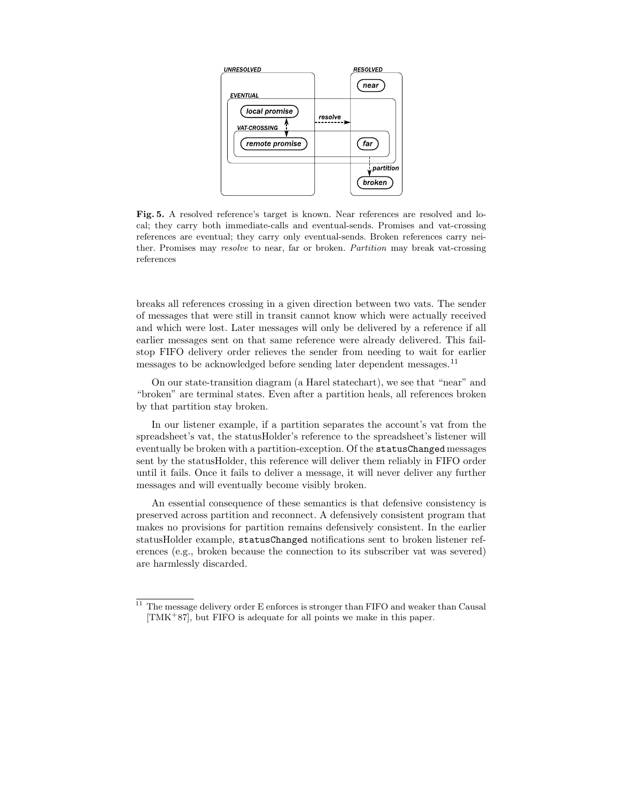

Fig. 5. A resolved reference's target is known. Near references are resolved and local; they carry both immediate-calls and eventual-sends. Promises and vat-crossing references are eventual; they carry only eventual-sends. Broken references carry neither. Promises may resolve to near, far or broken. Partition may break vat-crossing references

breaks all references crossing in a given direction between two vats. The sender of messages that were still in transit cannot know which were actually received and which were lost. Later messages will only be delivered by a reference if all earlier messages sent on that same reference were already delivered. This failstop FIFO delivery order relieves the sender from needing to wait for earlier messages to be acknowledged before sending later dependent messages.<sup>11</sup>

On our state-transition diagram (a Harel statechart), we see that "near" and "broken" are terminal states. Even after a partition heals, all references broken by that partition stay broken.

In our listener example, if a partition separates the account's vat from the spreadsheet's vat, the statusHolder's reference to the spreadsheet's listener will eventually be broken with a partition-exception. Of the statusChanged messages sent by the statusHolder, this reference will deliver them reliably in FIFO order until it fails. Once it fails to deliver a message, it will never deliver any further messages and will eventually become visibly broken.

An essential consequence of these semantics is that defensive consistency is preserved across partition and reconnect. A defensively consistent program that makes no provisions for partition remains defensively consistent. In the earlier statusHolder example, statusChanged notifications sent to broken listener references (e.g., broken because the connection to its subscriber vat was severed) are harmlessly discarded.

 $11$  The message delivery order E enforces is stronger than FIFO and weaker than Causal  $[TMK+87]$ , but FIFO is adequate for all points we make in this paper.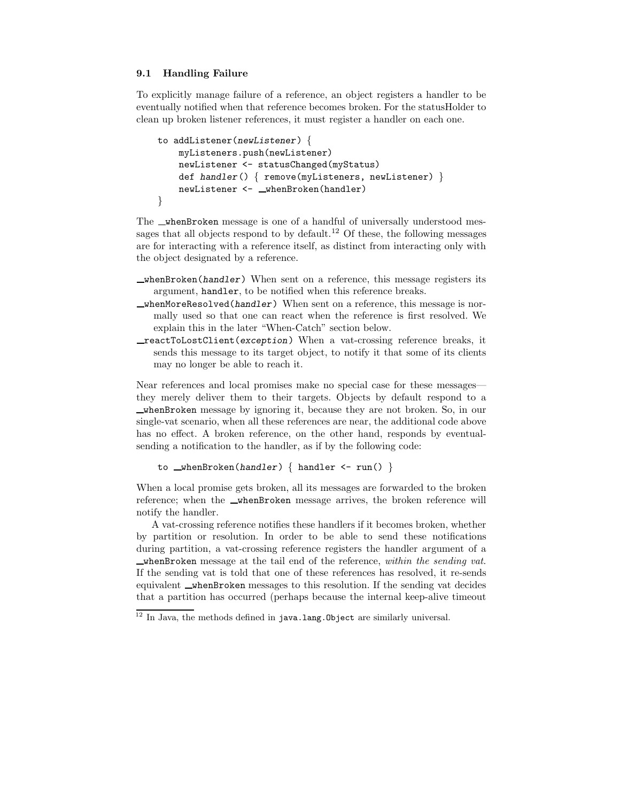#### 9.1 Handling Failure

To explicitly manage failure of a reference, an object registers a handler to be eventually notified when that reference becomes broken. For the statusHolder to clean up broken listener references, it must register a handler on each one.

```
to addListener(newListener) {
   myListeners.push(newListener)
   newListener <- statusChanged(myStatus)
   def handler() { remove(myListeners, newListener) }
   newListener <- whenBroken(handler)
}
```
The \_whenBroken message is one of a handful of universally understood messages that all objects respond to by default.<sup>12</sup> Of these, the following messages are for interacting with a reference itself, as distinct from interacting only with the object designated by a reference.

- whenBroken(handler) When sent on a reference, this message registers its argument, handler, to be notified when this reference breaks.
- whenMoreResolved(handler) When sent on a reference, this message is normally used so that one can react when the reference is first resolved. We explain this in the later "When-Catch" section below.
- reactToLostClient(exception) When a vat-crossing reference breaks, it sends this message to its target object, to notify it that some of its clients may no longer be able to reach it.

Near references and local promises make no special case for these messages they merely deliver them to their targets. Objects by default respond to a whenBroken message by ignoring it, because they are not broken. So, in our single-vat scenario, when all these references are near, the additional code above has no effect. A broken reference, on the other hand, responds by eventualsending a notification to the handler, as if by the following code:

```
to _whenBroken(handler) { handler \leftarrow run() }
```
When a local promise gets broken, all its messages are forwarded to the broken reference; when the \_whenBroken message arrives, the broken reference will notify the handler.

A vat-crossing reference notifies these handlers if it becomes broken, whether by partition or resolution. In order to be able to send these notifications during partition, a vat-crossing reference registers the handler argument of a  $\Box$ whenBroken message at the tail end of the reference, within the sending vat. If the sending vat is told that one of these references has resolved, it re-sends equivalent <u>whenBroken</u> messages to this resolution. If the sending vat decides that a partition has occurred (perhaps because the internal keep-alive timeout

 $12$  In Java, the methods defined in java.lang. Object are similarly universal.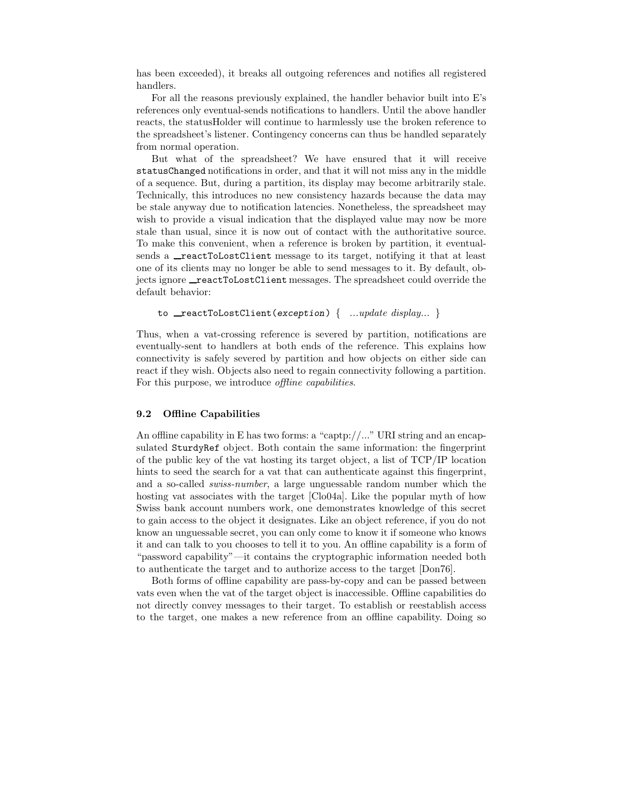has been exceeded), it breaks all outgoing references and notifies all registered handlers.

For all the reasons previously explained, the handler behavior built into E's references only eventual-sends notifications to handlers. Until the above handler reacts, the statusHolder will continue to harmlessly use the broken reference to the spreadsheet's listener. Contingency concerns can thus be handled separately from normal operation.

But what of the spreadsheet? We have ensured that it will receive statusChanged notifications in order, and that it will not miss any in the middle of a sequence. But, during a partition, its display may become arbitrarily stale. Technically, this introduces no new consistency hazards because the data may be stale anyway due to notification latencies. Nonetheless, the spreadsheet may wish to provide a visual indication that the displayed value may now be more stale than usual, since it is now out of contact with the authoritative source. To make this convenient, when a reference is broken by partition, it eventualsends a <u>reactToLostClient</u> message to its target, notifying it that at least one of its clients may no longer be able to send messages to it. By default, objects ignore **\_reactToLostClient** messages. The spreadsheet could override the default behavior:

```
to _reactToLostClient(exception) { ...update display... }
```
Thus, when a vat-crossing reference is severed by partition, notifications are eventually-sent to handlers at both ends of the reference. This explains how connectivity is safely severed by partition and how objects on either side can react if they wish. Objects also need to regain connectivity following a partition. For this purpose, we introduce *offline capabilities*.

#### 9.2 Offline Capabilities

An offline capability in E has two forms: a "captp://..." URI string and an encapsulated SturdyRef object. Both contain the same information: the fingerprint of the public key of the vat hosting its target object, a list of TCP/IP location hints to seed the search for a vat that can authenticate against this fingerprint, and a so-called swiss-number, a large unguessable random number which the hosting vat associates with the target [Clo04a]. Like the popular myth of how Swiss bank account numbers work, one demonstrates knowledge of this secret to gain access to the object it designates. Like an object reference, if you do not know an unguessable secret, you can only come to know it if someone who knows it and can talk to you chooses to tell it to you. An offline capability is a form of "password capability"—it contains the cryptographic information needed both to authenticate the target and to authorize access to the target [Don76].

Both forms of offline capability are pass-by-copy and can be passed between vats even when the vat of the target object is inaccessible. Offline capabilities do not directly convey messages to their target. To establish or reestablish access to the target, one makes a new reference from an offline capability. Doing so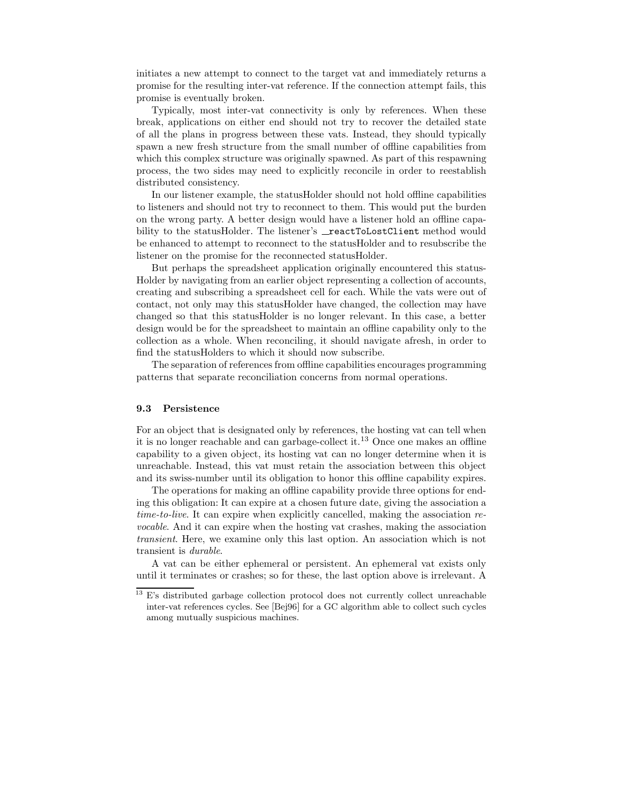initiates a new attempt to connect to the target vat and immediately returns a promise for the resulting inter-vat reference. If the connection attempt fails, this promise is eventually broken.

Typically, most inter-vat connectivity is only by references. When these break, applications on either end should not try to recover the detailed state of all the plans in progress between these vats. Instead, they should typically spawn a new fresh structure from the small number of offline capabilities from which this complex structure was originally spawned. As part of this respawning process, the two sides may need to explicitly reconcile in order to reestablish distributed consistency.

In our listener example, the statusHolder should not hold offline capabilities to listeners and should not try to reconnect to them. This would put the burden on the wrong party. A better design would have a listener hold an offline capability to the statusHolder. The listener's **\_reactToLostClient** method would be enhanced to attempt to reconnect to the statusHolder and to resubscribe the listener on the promise for the reconnected statusHolder.

But perhaps the spreadsheet application originally encountered this status-Holder by navigating from an earlier object representing a collection of accounts, creating and subscribing a spreadsheet cell for each. While the vats were out of contact, not only may this statusHolder have changed, the collection may have changed so that this statusHolder is no longer relevant. In this case, a better design would be for the spreadsheet to maintain an offline capability only to the collection as a whole. When reconciling, it should navigate afresh, in order to find the statusHolders to which it should now subscribe.

The separation of references from offline capabilities encourages programming patterns that separate reconciliation concerns from normal operations.

#### 9.3 Persistence

For an object that is designated only by references, the hosting vat can tell when it is no longer reachable and can garbage-collect it.<sup>13</sup> Once one makes an offline capability to a given object, its hosting vat can no longer determine when it is unreachable. Instead, this vat must retain the association between this object and its swiss-number until its obligation to honor this offline capability expires.

The operations for making an offline capability provide three options for ending this obligation: It can expire at a chosen future date, giving the association a time-to-live. It can expire when explicitly cancelled, making the association revocable. And it can expire when the hosting vat crashes, making the association transient. Here, we examine only this last option. An association which is not transient is durable.

A vat can be either ephemeral or persistent. An ephemeral vat exists only until it terminates or crashes; so for these, the last option above is irrelevant. A

<sup>&</sup>lt;sup>13</sup> E's distributed garbage collection protocol does not currently collect unreachable inter-vat references cycles. See [Bej96] for a GC algorithm able to collect such cycles among mutually suspicious machines.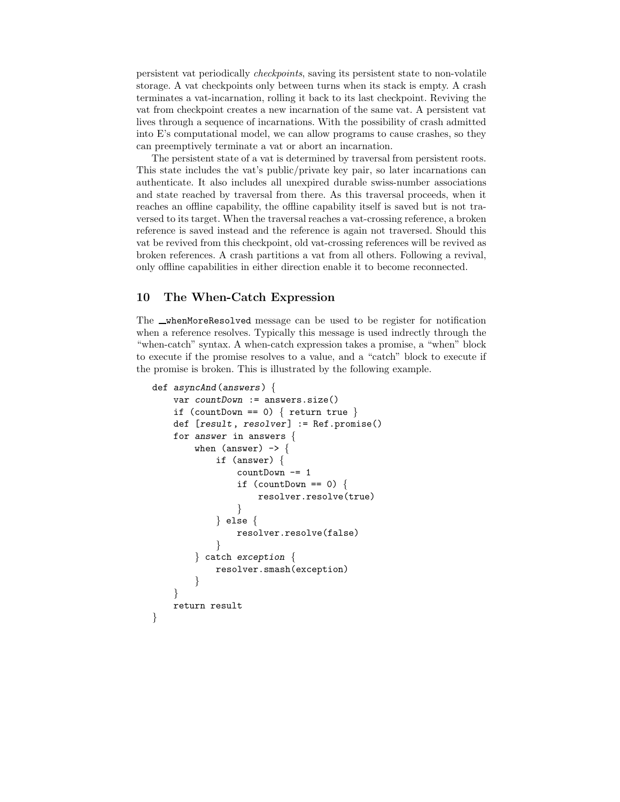persistent vat periodically checkpoints, saving its persistent state to non-volatile storage. A vat checkpoints only between turns when its stack is empty. A crash terminates a vat-incarnation, rolling it back to its last checkpoint. Reviving the vat from checkpoint creates a new incarnation of the same vat. A persistent vat lives through a sequence of incarnations. With the possibility of crash admitted into E's computational model, we can allow programs to cause crashes, so they can preemptively terminate a vat or abort an incarnation.

The persistent state of a vat is determined by traversal from persistent roots. This state includes the vat's public/private key pair, so later incarnations can authenticate. It also includes all unexpired durable swiss-number associations and state reached by traversal from there. As this traversal proceeds, when it reaches an offline capability, the offline capability itself is saved but is not traversed to its target. When the traversal reaches a vat-crossing reference, a broken reference is saved instead and the reference is again not traversed. Should this vat be revived from this checkpoint, old vat-crossing references will be revived as broken references. A crash partitions a vat from all others. Following a revival, only offline capabilities in either direction enable it to become reconnected.

# 10 The When-Catch Expression

The <u>whenMoreResolved</u> message can be used to be register for notification when a reference resolves. Typically this message is used indrectly through the "when-catch" syntax. A when-catch expression takes a promise, a "when" block to execute if the promise resolves to a value, and a "catch" block to execute if the promise is broken. This is illustrated by the following example.

```
def asyncAnd(answers) {
    var countDown := answers.size()
    if (countDown == 0) { return true }
    def [result, resolver] := Ref.promise()
    for answer in answers {
        when (answer) \rightarrow {
            if (answer) {
                 countDown -= 1
                 if (countDown == 0) {
                     resolver.resolve(true)
                 }
            } else {
                resolver.resolve(false)
             }
        } catch exception {
            resolver.smash(exception)
        }
    }
    return result
}
```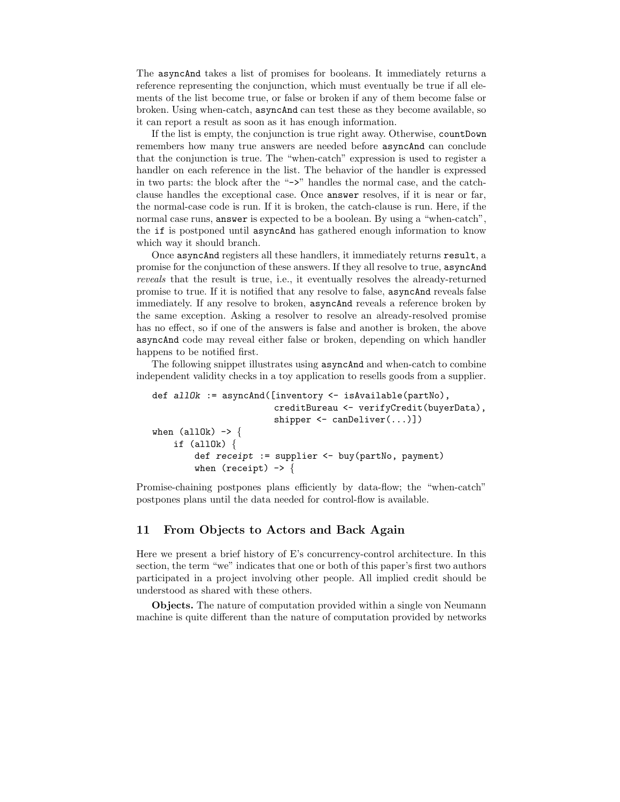The asyncAnd takes a list of promises for booleans. It immediately returns a reference representing the conjunction, which must eventually be true if all elements of the list become true, or false or broken if any of them become false or broken. Using when-catch, asyncAnd can test these as they become available, so it can report a result as soon as it has enough information.

If the list is empty, the conjunction is true right away. Otherwise, countDown remembers how many true answers are needed before asyncAnd can conclude that the conjunction is true. The "when-catch" expression is used to register a handler on each reference in the list. The behavior of the handler is expressed in two parts: the block after the "->" handles the normal case, and the catchclause handles the exceptional case. Once answer resolves, if it is near or far, the normal-case code is run. If it is broken, the catch-clause is run. Here, if the normal case runs, **answer** is expected to be a boolean. By using a "when-catch", the if is postponed until asyncAnd has gathered enough information to know which way it should branch.

Once asyncAnd registers all these handlers, it immediately returns result, a promise for the conjunction of these answers. If they all resolve to true, asyncAnd reveals that the result is true, i.e., it eventually resolves the already-returned promise to true. If it is notified that any resolve to false, asyncAnd reveals false immediately. If any resolve to broken, asyncAnd reveals a reference broken by the same exception. Asking a resolver to resolve an already-resolved promise has no effect, so if one of the answers is false and another is broken, the above asyncAnd code may reveal either false or broken, depending on which handler happens to be notified first.

The following snippet illustrates using asyncAnd and when-catch to combine independent validity checks in a toy application to resells goods from a supplier.

```
def allOk := asyncAnd([inventory <- isAvailable(partNo),
                        creditBureau <- verifyCredit(buyerData),
                        shipper <- canDeliver(...)])
when (al10k) -> {
    if (allOk) {
        def receipt := supplier <- buy(partNo, payment)
        when (receipt) \rightarrow {
```
Promise-chaining postpones plans efficiently by data-flow; the "when-catch" postpones plans until the data needed for control-flow is available.

# 11 From Objects to Actors and Back Again

Here we present a brief history of E's concurrency-control architecture. In this section, the term "we" indicates that one or both of this paper's first two authors participated in a project involving other people. All implied credit should be understood as shared with these others.

Objects. The nature of computation provided within a single von Neumann machine is quite different than the nature of computation provided by networks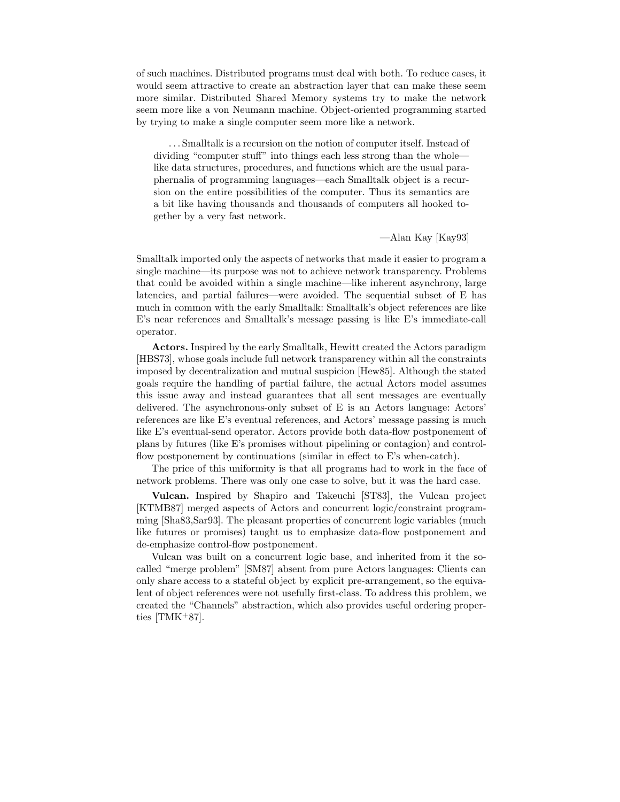of such machines. Distributed programs must deal with both. To reduce cases, it would seem attractive to create an abstraction layer that can make these seem more similar. Distributed Shared Memory systems try to make the network seem more like a von Neumann machine. Object-oriented programming started by trying to make a single computer seem more like a network.

. . . Smalltalk is a recursion on the notion of computer itself. Instead of dividing "computer stuff" into things each less strong than the whole like data structures, procedures, and functions which are the usual paraphernalia of programming languages—each Smalltalk object is a recursion on the entire possibilities of the computer. Thus its semantics are a bit like having thousands and thousands of computers all hooked together by a very fast network.

—Alan Kay [Kay93]

Smalltalk imported only the aspects of networks that made it easier to program a single machine—its purpose was not to achieve network transparency. Problems that could be avoided within a single machine—like inherent asynchrony, large latencies, and partial failures—were avoided. The sequential subset of E has much in common with the early Smalltalk: Smalltalk's object references are like E's near references and Smalltalk's message passing is like E's immediate-call operator.

Actors. Inspired by the early Smalltalk, Hewitt created the Actors paradigm [HBS73], whose goals include full network transparency within all the constraints imposed by decentralization and mutual suspicion [Hew85]. Although the stated goals require the handling of partial failure, the actual Actors model assumes this issue away and instead guarantees that all sent messages are eventually delivered. The asynchronous-only subset of E is an Actors language: Actors' references are like E's eventual references, and Actors' message passing is much like E's eventual-send operator. Actors provide both data-flow postponement of plans by futures (like E's promises without pipelining or contagion) and controlflow postponement by continuations (similar in effect to E's when-catch).

The price of this uniformity is that all programs had to work in the face of network problems. There was only one case to solve, but it was the hard case.

Vulcan. Inspired by Shapiro and Takeuchi [ST83], the Vulcan project [KTMB87] merged aspects of Actors and concurrent logic/constraint programming [Sha83,Sar93]. The pleasant properties of concurrent logic variables (much like futures or promises) taught us to emphasize data-flow postponement and de-emphasize control-flow postponement.

Vulcan was built on a concurrent logic base, and inherited from it the socalled "merge problem" [SM87] absent from pure Actors languages: Clients can only share access to a stateful object by explicit pre-arrangement, so the equivalent of object references were not usefully first-class. To address this problem, we created the "Channels" abstraction, which also provides useful ordering properties  $[TMK+87]$ .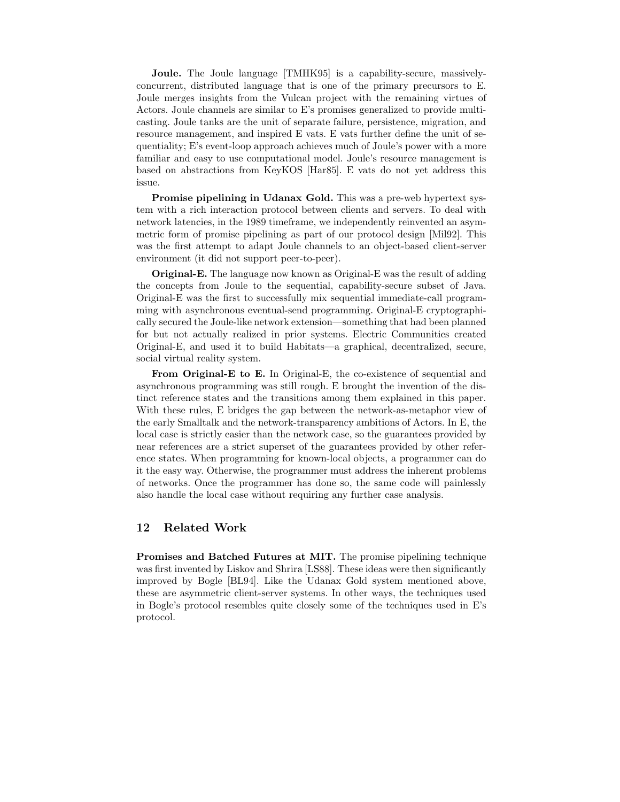Joule. The Joule language [TMHK95] is a capability-secure, massivelyconcurrent, distributed language that is one of the primary precursors to E. Joule merges insights from the Vulcan project with the remaining virtues of Actors. Joule channels are similar to E's promises generalized to provide multicasting. Joule tanks are the unit of separate failure, persistence, migration, and resource management, and inspired E vats. E vats further define the unit of sequentiality; E's event-loop approach achieves much of Joule's power with a more familiar and easy to use computational model. Joule's resource management is based on abstractions from KeyKOS [Har85]. E vats do not yet address this issue.

Promise pipelining in Udanax Gold. This was a pre-web hypertext system with a rich interaction protocol between clients and servers. To deal with network latencies, in the 1989 timeframe, we independently reinvented an asymmetric form of promise pipelining as part of our protocol design [Mil92]. This was the first attempt to adapt Joule channels to an object-based client-server environment (it did not support peer-to-peer).

Original-E. The language now known as Original-E was the result of adding the concepts from Joule to the sequential, capability-secure subset of Java. Original-E was the first to successfully mix sequential immediate-call programming with asynchronous eventual-send programming. Original-E cryptographically secured the Joule-like network extension—something that had been planned for but not actually realized in prior systems. Electric Communities created Original-E, and used it to build Habitats—a graphical, decentralized, secure, social virtual reality system.

From Original-E to E. In Original-E, the co-existence of sequential and asynchronous programming was still rough. E brought the invention of the distinct reference states and the transitions among them explained in this paper. With these rules, E bridges the gap between the network-as-metaphor view of the early Smalltalk and the network-transparency ambitions of Actors. In E, the local case is strictly easier than the network case, so the guarantees provided by near references are a strict superset of the guarantees provided by other reference states. When programming for known-local objects, a programmer can do it the easy way. Otherwise, the programmer must address the inherent problems of networks. Once the programmer has done so, the same code will painlessly also handle the local case without requiring any further case analysis.

## 12 Related Work

Promises and Batched Futures at MIT. The promise pipelining technique was first invented by Liskov and Shrira [LS88]. These ideas were then significantly improved by Bogle [BL94]. Like the Udanax Gold system mentioned above, these are asymmetric client-server systems. In other ways, the techniques used in Bogle's protocol resembles quite closely some of the techniques used in E's protocol.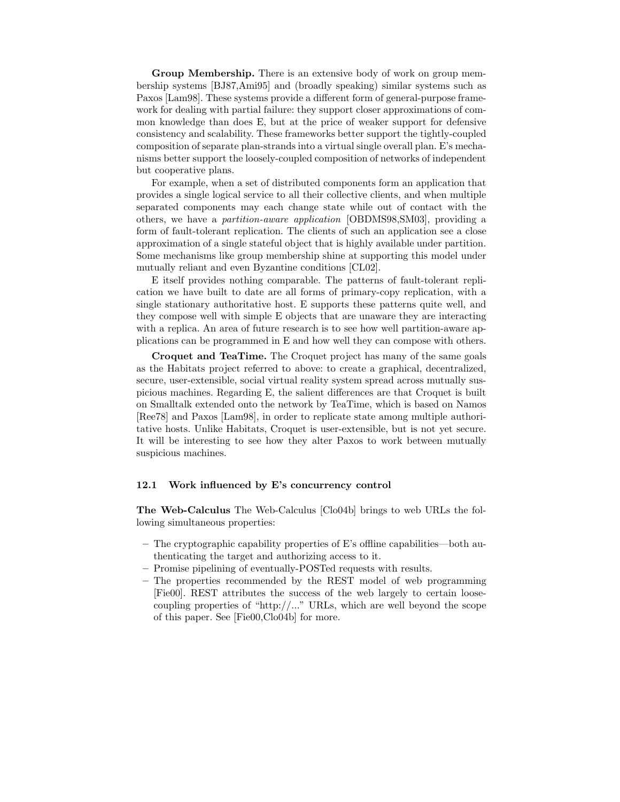Group Membership. There is an extensive body of work on group membership systems [BJ87,Ami95] and (broadly speaking) similar systems such as Paxos [Lam98]. These systems provide a different form of general-purpose framework for dealing with partial failure: they support closer approximations of common knowledge than does E, but at the price of weaker support for defensive consistency and scalability. These frameworks better support the tightly-coupled composition of separate plan-strands into a virtual single overall plan. E's mechanisms better support the loosely-coupled composition of networks of independent but cooperative plans.

For example, when a set of distributed components form an application that provides a single logical service to all their collective clients, and when multiple separated components may each change state while out of contact with the others, we have a partition-aware application [OBDMS98,SM03], providing a form of fault-tolerant replication. The clients of such an application see a close approximation of a single stateful object that is highly available under partition. Some mechanisms like group membership shine at supporting this model under mutually reliant and even Byzantine conditions [CL02].

E itself provides nothing comparable. The patterns of fault-tolerant replication we have built to date are all forms of primary-copy replication, with a single stationary authoritative host. E supports these patterns quite well, and they compose well with simple E objects that are unaware they are interacting with a replica. An area of future research is to see how well partition-aware applications can be programmed in E and how well they can compose with others.

Croquet and TeaTime. The Croquet project has many of the same goals as the Habitats project referred to above: to create a graphical, decentralized, secure, user-extensible, social virtual reality system spread across mutually suspicious machines. Regarding E, the salient differences are that Croquet is built on Smalltalk extended onto the network by TeaTime, which is based on Namos [Ree78] and Paxos [Lam98], in order to replicate state among multiple authoritative hosts. Unlike Habitats, Croquet is user-extensible, but is not yet secure. It will be interesting to see how they alter Paxos to work between mutually suspicious machines.

#### 12.1 Work influenced by E's concurrency control

The Web-Calculus The Web-Calculus [Clo04b] brings to web URLs the following simultaneous properties:

- The cryptographic capability properties of E's offline capabilities—both authenticating the target and authorizing access to it.
- Promise pipelining of eventually-POSTed requests with results.
- The properties recommended by the REST model of web programming [Fie00]. REST attributes the success of the web largely to certain loosecoupling properties of "http://..." URLs, which are well beyond the scope of this paper. See [Fie00,Clo04b] for more.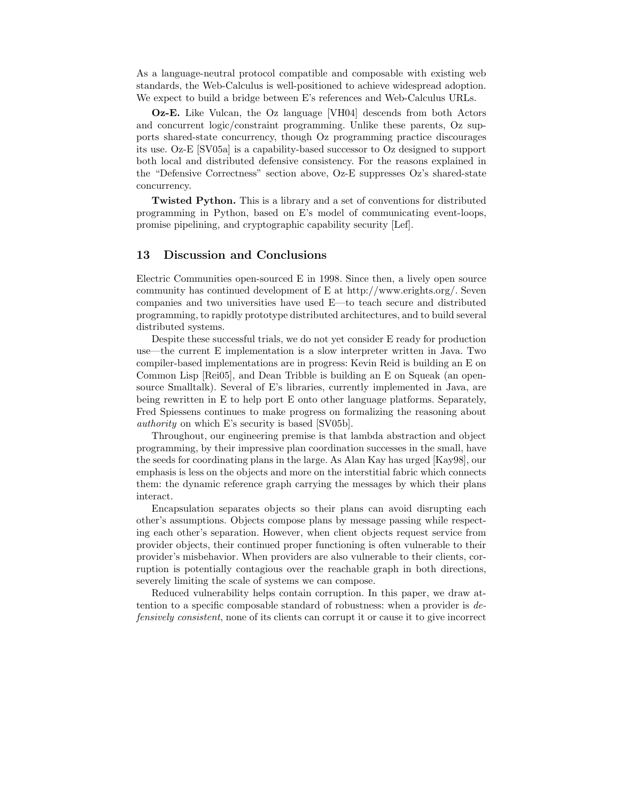As a language-neutral protocol compatible and composable with existing web standards, the Web-Calculus is well-positioned to achieve widespread adoption. We expect to build a bridge between E's references and Web-Calculus URLs.

Oz-E. Like Vulcan, the Oz language [VH04] descends from both Actors and concurrent logic/constraint programming. Unlike these parents, Oz supports shared-state concurrency, though Oz programming practice discourages its use. Oz-E [SV05a] is a capability-based successor to Oz designed to support both local and distributed defensive consistency. For the reasons explained in the "Defensive Correctness" section above, Oz-E suppresses Oz's shared-state concurrency.

Twisted Python. This is a library and a set of conventions for distributed programming in Python, based on E's model of communicating event-loops, promise pipelining, and cryptographic capability security [Lef].

# 13 Discussion and Conclusions

Electric Communities open-sourced E in 1998. Since then, a lively open source community has continued development of E at http://www.erights.org/. Seven companies and two universities have used E—to teach secure and distributed programming, to rapidly prototype distributed architectures, and to build several distributed systems.

Despite these successful trials, we do not yet consider E ready for production use—the current E implementation is a slow interpreter written in Java. Two compiler-based implementations are in progress: Kevin Reid is building an E on Common Lisp [Rei05], and Dean Tribble is building an E on Squeak (an opensource Smalltalk). Several of E's libraries, currently implemented in Java, are being rewritten in E to help port E onto other language platforms. Separately, Fred Spiessens continues to make progress on formalizing the reasoning about authority on which E's security is based [SV05b].

Throughout, our engineering premise is that lambda abstraction and object programming, by their impressive plan coordination successes in the small, have the seeds for coordinating plans in the large. As Alan Kay has urged [Kay98], our emphasis is less on the objects and more on the interstitial fabric which connects them: the dynamic reference graph carrying the messages by which their plans interact.

Encapsulation separates objects so their plans can avoid disrupting each other's assumptions. Objects compose plans by message passing while respecting each other's separation. However, when client objects request service from provider objects, their continued proper functioning is often vulnerable to their provider's misbehavior. When providers are also vulnerable to their clients, corruption is potentially contagious over the reachable graph in both directions, severely limiting the scale of systems we can compose.

Reduced vulnerability helps contain corruption. In this paper, we draw attention to a specific composable standard of robustness: when a provider is defensively consistent, none of its clients can corrupt it or cause it to give incorrect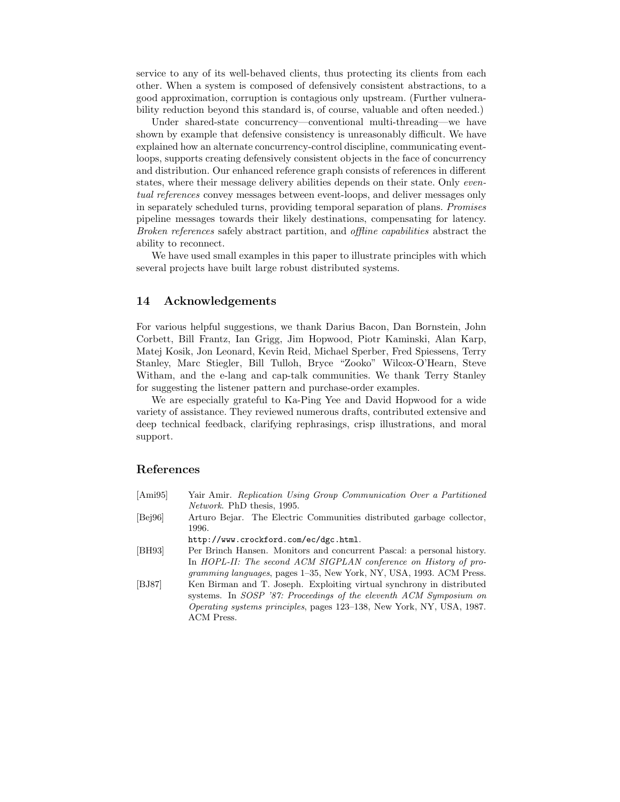service to any of its well-behaved clients, thus protecting its clients from each other. When a system is composed of defensively consistent abstractions, to a good approximation, corruption is contagious only upstream. (Further vulnerability reduction beyond this standard is, of course, valuable and often needed.)

Under shared-state concurrency—conventional multi-threading—we have shown by example that defensive consistency is unreasonably difficult. We have explained how an alternate concurrency-control discipline, communicating eventloops, supports creating defensively consistent objects in the face of concurrency and distribution. Our enhanced reference graph consists of references in different states, where their message delivery abilities depends on their state. Only eventual references convey messages between event-loops, and deliver messages only in separately scheduled turns, providing temporal separation of plans. Promises pipeline messages towards their likely destinations, compensating for latency. Broken references safely abstract partition, and offline capabilities abstract the ability to reconnect.

We have used small examples in this paper to illustrate principles with which several projects have built large robust distributed systems.

# 14 Acknowledgements

For various helpful suggestions, we thank Darius Bacon, Dan Bornstein, John Corbett, Bill Frantz, Ian Grigg, Jim Hopwood, Piotr Kaminski, Alan Karp, Matej Kosik, Jon Leonard, Kevin Reid, Michael Sperber, Fred Spiessens, Terry Stanley, Marc Stiegler, Bill Tulloh, Bryce "Zooko" Wilcox-O'Hearn, Steve Witham, and the e-lang and cap-talk communities. We thank Terry Stanley for suggesting the listener pattern and purchase-order examples.

We are especially grateful to Ka-Ping Yee and David Hopwood for a wide variety of assistance. They reviewed numerous drafts, contributed extensive and deep technical feedback, clarifying rephrasings, crisp illustrations, and moral support.

#### References

[Ami95] Yair Amir. Replication Using Group Communication Over a Partitioned Network. PhD thesis, 1995. [Bej96] Arturo Bejar. The Electric Communities distributed garbage collector, 1996. http://www.crockford.com/ec/dgc.html. [BH93] Per Brinch Hansen. Monitors and concurrent Pascal: a personal history. In HOPL-II: The second ACM SIGPLAN conference on History of programming languages, pages 1–35, New York, NY, USA, 1993. ACM Press. [BJ87] Ken Birman and T. Joseph. Exploiting virtual synchrony in distributed systems. In SOSP '87: Proceedings of the eleventh ACM Symposium on Operating systems principles, pages 123–138, New York, NY, USA, 1987. ACM Press.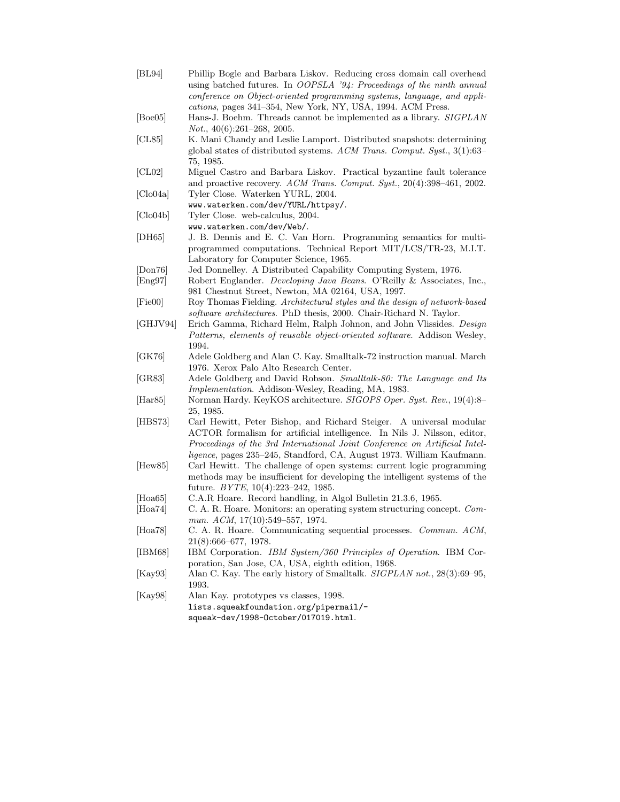- [BL94] Phillip Bogle and Barbara Liskov. Reducing cross domain call overhead using batched futures. In *OOPSLA* '94: Proceedings of the ninth annual conference on Object-oriented programming systems, language, and applications, pages 341–354, New York, NY, USA, 1994. ACM Press.
- [Boe05] Hans-J. Boehm. Threads cannot be implemented as a library. SIGPLAN Not., 40(6):261–268, 2005.
- [CL85] K. Mani Chandy and Leslie Lamport. Distributed snapshots: determining global states of distributed systems. ACM Trans. Comput. Syst., 3(1):63– 75, 1985.
- [CL02] Miguel Castro and Barbara Liskov. Practical byzantine fault tolerance and proactive recovery. ACM Trans. Comput. Syst., 20(4):398–461, 2002. [Clo04a] Tyler Close. Waterken YURL, 2004.
- www.waterken.com/dev/YURL/httpsy/.
- [Clo04b] Tyler Close. web-calculus, 2004.
- www.waterken.com/dev/Web/.
- [DH65] J. B. Dennis and E. C. Van Horn. Programming semantics for multiprogrammed computations. Technical Report MIT/LCS/TR-23, M.I.T. Laboratory for Computer Science, 1965.
- [Don76] Jed Donnelley. A Distributed Capability Computing System, 1976.
- [Eng97] Robert Englander. Developing Java Beans. O'Reilly & Associates, Inc., 981 Chestnut Street, Newton, MA 02164, USA, 1997.
- [Fie00] Roy Thomas Fielding. Architectural styles and the design of network-based software architectures. PhD thesis, 2000. Chair-Richard N. Taylor.
- [GHJV94] Erich Gamma, Richard Helm, Ralph Johnon, and John Vlissides. Design Patterns, elements of reusable object-oriented software. Addison Wesley, 1994.
- [GK76] Adele Goldberg and Alan C. Kay. Smalltalk-72 instruction manual. March 1976. Xerox Palo Alto Research Center.
- [GR83] Adele Goldberg and David Robson. Smalltalk-80: The Language and Its Implementation. Addison-Wesley, Reading, MA, 1983.
- [Har85] Norman Hardy. KeyKOS architecture. SIGOPS Oper. Syst. Rev., 19(4):8– 25, 1985.
- [HBS73] Carl Hewitt, Peter Bishop, and Richard Steiger. A universal modular ACTOR formalism for artificial intelligence. In Nils J. Nilsson, editor, Proceedings of the 3rd International Joint Conference on Artificial Intelligence, pages 235–245, Standford, CA, August 1973. William Kaufmann.
- [Hew85] Carl Hewitt. The challenge of open systems: current logic programming methods may be insufficient for developing the intelligent systems of the future. BYTE, 10(4):223–242, 1985.
- [Hoa65] C.A.R Hoare. Record handling, in Algol Bulletin 21.3.6, 1965.
- [Hoa74] C. A. R. Hoare. Monitors: an operating system structuring concept. Commun. ACM, 17(10):549–557, 1974.
- [Hoa78] C. A. R. Hoare. Communicating sequential processes. Commun. ACM, 21(8):666–677, 1978.
- [IBM68] IBM Corporation. IBM System/360 Principles of Operation. IBM Corporation, San Jose, CA, USA, eighth edition, 1968.
- [Kay93] Alan C. Kay. The early history of Smalltalk. SIGPLAN not., 28(3):69–95, 1993.
- [Kay98] Alan Kay. prototypes vs classes, 1998. lists.squeakfoundation.org/pipermail/ squeak-dev/1998-October/017019.html.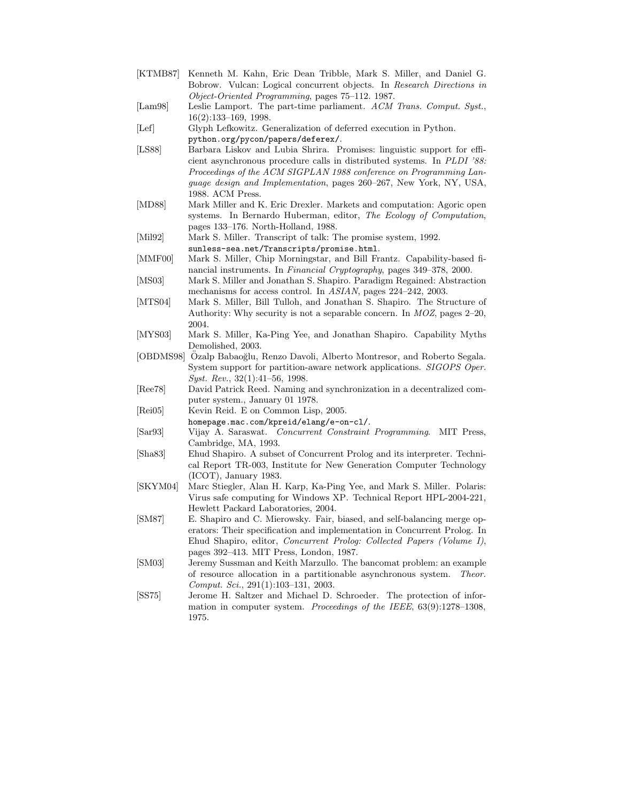- [KTMB87] Kenneth M. Kahn, Eric Dean Tribble, Mark S. Miller, and Daniel G. Bobrow. Vulcan: Logical concurrent objects. In Research Directions in Object-Oriented Programming, pages 75–112. 1987.
- [Lam98] Leslie Lamport. The part-time parliament. ACM Trans. Comput. Syst., 16(2):133–169, 1998.
- [Lef] Glyph Lefkowitz. Generalization of deferred execution in Python. python.org/pycon/papers/deferex/.
- [LS88] Barbara Liskov and Lubia Shrira. Promises: linguistic support for efficient asynchronous procedure calls in distributed systems. In PLDI '88: Proceedings of the ACM SIGPLAN 1988 conference on Programming Language design and Implementation, pages 260–267, New York, NY, USA, 1988. ACM Press.
- [MD88] Mark Miller and K. Eric Drexler. Markets and computation: Agoric open systems. In Bernardo Huberman, editor, The Ecology of Computation, pages 133–176. North-Holland, 1988.
- [Mil92] Mark S. Miller. Transcript of talk: The promise system, 1992. sunless-sea.net/Transcripts/promise.html.
- [MMF00] Mark S. Miller, Chip Morningstar, and Bill Frantz. Capability-based financial instruments. In Financial Cryptography, pages 349–378, 2000.
- [MS03] Mark S. Miller and Jonathan S. Shapiro. Paradigm Regained: Abstraction mechanisms for access control. In ASIAN, pages 224–242, 2003.
- [MTS04] Mark S. Miller, Bill Tulloh, and Jonathan S. Shapiro. The Structure of Authority: Why security is not a separable concern. In MOZ, pages 2–20, 2004.
- [MYS03] Mark S. Miller, Ka-Ping Yee, and Jonathan Shapiro. Capability Myths Demolished, 2003.
- [OBDMS98] Özalp Babaoğlu, Renzo Davoli, Alberto Montresor, and Roberto Segala. System support for partition-aware network applications. SIGOPS Oper. Syst. Rev., 32(1):41–56, 1998.
- [Ree78] David Patrick Reed. Naming and synchronization in a decentralized computer system., January 01 1978.
- [Rei05] Kevin Reid. E on Common Lisp, 2005.
- homepage.mac.com/kpreid/elang/e-on-cl/.
- [Sar93] Vijay A. Saraswat. Concurrent Constraint Programming. MIT Press, Cambridge, MA, 1993.
- [Sha83] Ehud Shapiro. A subset of Concurrent Prolog and its interpreter. Technical Report TR-003, Institute for New Generation Computer Technology (ICOT), January 1983.
- [SKYM04] Marc Stiegler, Alan H. Karp, Ka-Ping Yee, and Mark S. Miller. Polaris: Virus safe computing for Windows XP. Technical Report HPL-2004-221, Hewlett Packard Laboratories, 2004.
- [SM87] E. Shapiro and C. Mierowsky. Fair, biased, and self-balancing merge operators: Their specification and implementation in Concurrent Prolog. In Ehud Shapiro, editor, Concurrent Prolog: Collected Papers (Volume I), pages 392–413. MIT Press, London, 1987.
- [SM03] Jeremy Sussman and Keith Marzullo. The bancomat problem: an example of resource allocation in a partitionable asynchronous system. Theor. Comput. Sci., 291(1):103–131, 2003.
- [SS75] Jerome H. Saltzer and Michael D. Schroeder. The protection of information in computer system. Proceedings of the IEEE, 63(9):1278-1308, 1975.